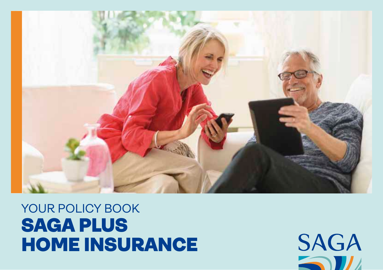# YOUR POLICY BOOK SAGA PLUS HOME INSURANCE



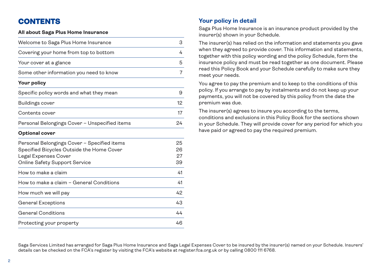# **CONTENTS**

### **All about Saga Plus Home Insurance**

| Welcome to Saga Plus Home Insurance                                                                                                               | 3                    |
|---------------------------------------------------------------------------------------------------------------------------------------------------|----------------------|
| Covering your home from top to bottom                                                                                                             | 4                    |
| Your cover at a glance                                                                                                                            | 5                    |
| Some other information you need to know                                                                                                           | 7                    |
| Your policy                                                                                                                                       |                      |
| Specific policy words and what they mean                                                                                                          | 9                    |
| Buildings cover                                                                                                                                   | 12                   |
| Contents cover                                                                                                                                    | 17                   |
| Personal Belongings Cover - Unspecified items                                                                                                     | 24                   |
| <b>Optional cover</b>                                                                                                                             |                      |
| Personal Belongings Cover - Specified items<br>Specified Bicycles Outside the Home Cover<br>Legal Expenses Cover<br>Online Safety Support Service | 25<br>26<br>27<br>39 |
| How to make a claim                                                                                                                               | 41                   |
| How to make a claim - General Conditions                                                                                                          | 41                   |
| How much we will pay                                                                                                                              | 42                   |
| General Exceptions                                                                                                                                | 43                   |
| <b>General Conditions</b>                                                                                                                         | 44                   |
| Protecting your property                                                                                                                          | 46                   |

### **Your policy in detail**

Saga Plus Home Insurance is an insurance product provided by the insurer(s) shown in your Schedule.

The insurer(s) has relied on the information and statements you gave when they agreed to provide cover. This information and statements, together with this policy wording and the policy Schedule, form the insurance policy and must be read together as one document. Please read this Policy Book and your Schedule carefully to make sure they meet your needs.

You agree to pay the premium and to keep to the conditions of this policy. If you arrange to pay by instalments and do not keep up your payments, you will not be covered by this policy from the date the premium was due.

The insurer(s) agrees to insure you according to the terms, conditions and exclusions in this Policy Book for the sections shown in your Schedule. They will provide cover for any period for which you have paid or agreed to pay the required premium.

Saga Services Limited has arranged for Saga Plus Home Insurance and Saga Legal Expenses Cover to be insured by the insurer(s) named on your Schedule. Insurers' details can be checked on the FCA's register by visiting the FCA's website at register.fca.org.uk or by calling 0800 111 6768.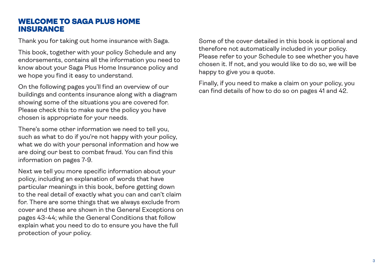### WELCOME TO SAGA PLUS HOME INSURANCE

Thank you for taking out home insurance with Saga.

This book, together with your policy Schedule and any endorsements, contains all the information you need to know about your Saga Plus Home Insurance policy and we hope you find it easy to understand.

On the following pages you'll find an overview of our buildings and contents insurance along with a diagram showing some of the situations you are covered for. Please check this to make sure the policy you have chosen is appropriate for your needs.

There's some other information we need to tell you, such as what to do if you're not happy with your policy, what we do with your personal information and how we are doing our best to combat fraud. You can find this information on pages 7-9.

Next we tell you more specific information about your policy, including an explanation of words that have particular meanings in this book, before getting down to the real detail of exactly what you can and can't claim for. There are some things that we always exclude from cover and these are shown in the General Exceptions on pages 43-44; while the General Conditions that follow explain what you need to do to ensure you have the full protection of your policy.

Some of the cover detailed in this book is optional and therefore not automatically included in your policy. Please refer to your Schedule to see whether you have chosen it. If not, and you would like to do so, we will be happy to give you a quote.

Finally, if you need to make a claim on your policy, you can find details of how to do so on pages 41 and 42.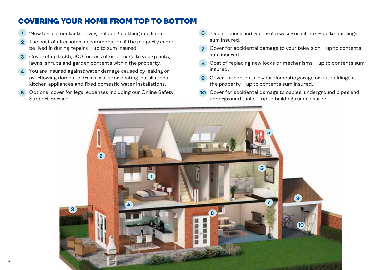# COVERING YOUR HOME FROM TOP TO BOTTOM

- 'New for old' contents cover, including clothing and linen.
- The cost of alternative accommodation if the property cannot be lived in during repairs – up to sum insured.
- Cover of up to £5,000 for loss of or damage to your plants, lawns, shrubs and garden contents within the property.
- You are insured against water damage caused by leaking or overflowing domestic drains, water or heating installations, kitchen appliances and fixed domestic water installations.
- Optional cover for legal expenses including our Online Safety Support Service.
- Trace, access and repair of a water or oil leak up to buildings sum insured.
- Cover for accidental damage to your television up to contents sum insured.
- Cost of replacing new locks or mechanisms up to contents sum insured.
- Cover for contents in your domestic garage or outbuildings at the property – up to contents sum insured.
- Cover for accidental damage to cables, underground pipes and underground tanks – up to buildings sum insured.

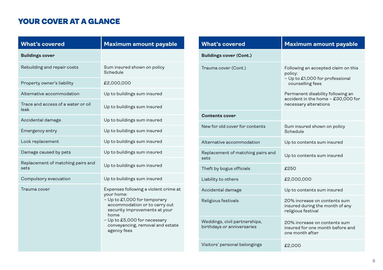## YOUR COVER AT A GLANCE

| <b>What's covered</b>                      | <b>Maximum amount payable</b>                                                                                                                                                                                                                    |
|--------------------------------------------|--------------------------------------------------------------------------------------------------------------------------------------------------------------------------------------------------------------------------------------------------|
| <b>Buildings cover</b>                     |                                                                                                                                                                                                                                                  |
| Rebuilding and repair costs                | Sum insured shown on policy<br>Schedule                                                                                                                                                                                                          |
| Property owner's liability                 | £2,000,000                                                                                                                                                                                                                                       |
| Alternative accommodation                  | Up to buildings sum insured                                                                                                                                                                                                                      |
| Trace and access of a water or oil<br>leak | Up to buildings sum insured                                                                                                                                                                                                                      |
| Accidental damage                          | Up to buildings sum insured                                                                                                                                                                                                                      |
| Emergency entry                            | Up to buildings sum insured                                                                                                                                                                                                                      |
| Lock replacement                           | Up to buildings sum insured                                                                                                                                                                                                                      |
| Damage caused by pets                      | Up to buildings sum insured                                                                                                                                                                                                                      |
| Replacement of matching pairs and<br>sets  | Up to buildings sum insured                                                                                                                                                                                                                      |
| Compulsory evacuation                      | Up to buildings sum insured                                                                                                                                                                                                                      |
| Trauma cover                               | Expenses following a violent crime at<br>your home:<br>- Up to £1,000 for temporary<br>accommodation or to carry out<br>security improvements at your<br>home<br>- Up to £5,000 for necessary<br>conveyancing, removal and estate<br>agency fees |

| <b>What's covered</b>                                       | <b>Maximum amount payable</b>                                                                                                                                                                             |
|-------------------------------------------------------------|-----------------------------------------------------------------------------------------------------------------------------------------------------------------------------------------------------------|
| <b>Buildings cover (Cont.)</b>                              |                                                                                                                                                                                                           |
| Trauma cover (Cont.)                                        | Following an accepted claim on this<br>policy:<br>- Up to £1,000 for professional<br>counselling fees<br>Permanent disability following an<br>accident in the home - £30,000 for<br>necessary alterations |
| <b>Contents cover</b>                                       |                                                                                                                                                                                                           |
| New for old cover for contents                              | Sum insured shown on policy<br>Schedule                                                                                                                                                                   |
| Alternative accommodation                                   | Up to contents sum insured                                                                                                                                                                                |
| Replacement of matching pairs and<br>sets                   | Up to contents sum insured                                                                                                                                                                                |
| Theft by bogus officials                                    | £250                                                                                                                                                                                                      |
| Liability to others                                         | £2,000,000                                                                                                                                                                                                |
| Accidental damage                                           | Up to contents sum insured                                                                                                                                                                                |
| Religious festivals                                         | 20% increase on contents sum<br>insured during the month of any<br>religious festival                                                                                                                     |
| Weddings, civil partnerships,<br>birthdays or anniversaries | 20% increase on contents sum<br>insured for one month before and<br>one month after                                                                                                                       |
| Visitors' personal belongings                               | £2,000                                                                                                                                                                                                    |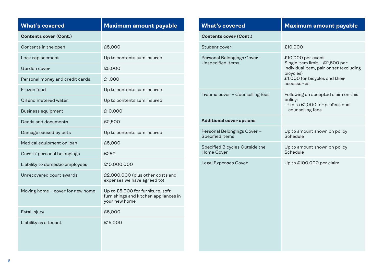| <b>What's covered</b>            | <b>Maximum amount payable</b>                                                              |
|----------------------------------|--------------------------------------------------------------------------------------------|
| <b>Contents cover (Cont.)</b>    |                                                                                            |
| Contents in the open             | £5,000                                                                                     |
| Lock replacement                 | Up to contents sum insured                                                                 |
| Garden cover                     | £5,000                                                                                     |
| Personal money and credit cards  | £1,000                                                                                     |
| Frozen food                      | Up to contents sum insured                                                                 |
| Oil and metered water            | Up to contents sum insured                                                                 |
| <b>Business equipment</b>        | £10,000                                                                                    |
| Deeds and documents              | £2,500                                                                                     |
| Damage caused by pets            | Up to contents sum insured                                                                 |
| Medical equipment on loan        | £5,000                                                                                     |
| Carers' personal belongings      | £250                                                                                       |
| Liability to domestic employees  | £10,000,000                                                                                |
| Unrecovered court awards         | £2,000,000 (plus other costs and<br>expenses we have agreed to)                            |
| Moving home - cover for new home | Up to £5,000 for furniture, soft<br>furnishings and kitchen appliances in<br>your new home |
| Fatal injury                     | £5,000                                                                                     |
| Liability as a tenant            | £15,000                                                                                    |

| <b>What's covered</b>                            | <b>Maximum amount payable</b>                                                                                                                               |
|--------------------------------------------------|-------------------------------------------------------------------------------------------------------------------------------------------------------------|
| <b>Contents cover (Cont.)</b>                    |                                                                                                                                                             |
| Student cover                                    | £10,000                                                                                                                                                     |
| Personal Belongings Cover -<br>Unspecified items | £10,000 per event<br>Single item limit - £2,500 per<br>individual item, pair or set (excluding<br>bicycles)<br>£1,000 for bicycles and their<br>accessories |
| Trauma cover - Counselling fees                  | Following an accepted claim on this<br>policy:<br>- Up to £1,000 for professional<br>counselling fees                                                       |
| <b>Additional cover options</b>                  |                                                                                                                                                             |
| Personal Belongings Cover -<br>Specified items   | Up to amount shown on policy<br>Schedule                                                                                                                    |
| Specified Bicycles Outside the<br>Home Cover     | Up to amount shown on policy<br>Schedule                                                                                                                    |
| Legal Expenses Cover                             | Up to £100,000 per claim                                                                                                                                    |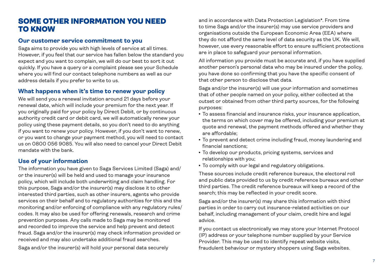### SOME OTHER INFORMATION YOU NEED TO KNOW

### **Our customer service commitment to you**

Saga aims to provide you with high levels of service at all times. However, if you feel that our service has fallen below the standard you expect and you want to complain, we will do our best to sort it out quickly. If you have a query or a complaint please see your Schedule where you will find our contact telephone numbers as well as our address details if you prefer to write to us.

### **What happens when it's time to renew your policy**

We will send you a renewal invitation around 21 days before your renewal date, which will include your premium for the next year. If you originally paid for your policy by Direct Debit, or by continuous authority credit card or debit card, we will automatically renew your policy using these payment details, so you don't need to do anything if you want to renew your policy. However, if you don't want to renew, or you want to change your payment method, you will need to contact us on 0800 056 9085. You will also need to cancel your Direct Debit mandate with the bank.

### **Use of your information**

The information you have given to Saga Services Limited (Saga) and/ or the insurer(s) will be held and used to manage your insurance policy, which will include both underwriting and claim handling. For this purpose, Saga and/or the insurer(s) may disclose it to other interested third parties, such as other insurers, agents who provide services on their behalf and to regulatory authorities for this and the monitoring and/or enforcing of compliance with any regulatory rules/ codes. It may also be used for offering renewals, research and crime prevention purposes. Any calls made to Saga may be monitored and recorded to improve the service and help prevent and detect fraud. Saga and/or the insurer(s) may check information provided or received and may also undertake additional fraud searches.

Saga and/or the insurer(s) will hold your personal data securely

and in accordance with Data Protection Legislation\*. From time to time Saga and/or the insurer(s) may use service providers and organisations outside the European Economic Area (EEA) where they do not afford the same level of data security as the UK. We will, however, use every reasonable effort to ensure sufficient protections are in place to safeguard your personal information.

All information you provide must be accurate and, if you have supplied another person's personal data who may be insured under the policy, you have done so confirming that you have the specific consent of that other person to disclose that data.

Saga and/or the insurer(s) will use your information and sometimes that of other people named on your policy, either collected at the outset or obtained from other third party sources, for the following purposes:

- To assess financial and insurance risks, your insurance application, the terms on which cover may be offered, including your premium at quote and renewal, the payment methods offered and whether they are affordable;
- To prevent and detect crime including fraud, money laundering and financial sanctions;
- To develop our products, pricing systems, services and relationships with you;
- To comply with our legal and regulatory obligations.

These sources include credit reference bureaux, the electoral roll and public data provided to us by credit reference bureaux and other third parties. The credit reference bureaux will keep a record of the search; this may be reflected in your credit score.

Saga and/or the insurer(s) may share this information with third parties in order to carry out insurance-related activities on our behalf, including management of your claim, credit hire and legal advice.

If you contact us electronically we may store your Internet Protocol (IP) address or your telephone number supplied by your Service Provider. This may be used to identify repeat website visits, fraudulent behaviour or mystery shoppers using Saga websites.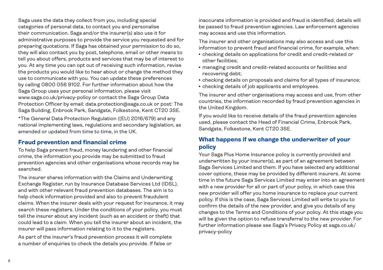Saga uses the data they collect from you, including special categories of personal data, to contact you and personalise their communication. Saga and/or the insurer(s) also use it for administrative purposes to provide the service you requested and for preparing quotations. If Saga has obtained your permission to do so, they will also contact you by post, telephone, email or other means to tell you about offers, products and services that may be of interest to you. At any time you can opt out of receiving such information, revise the products you would like to hear about or change the method they use to communicate with you. You can update these preferences by calling 0800 056 9102. For further information about how the Saga Group uses your personal information, please visit www.saga.co.uk/privacy-policy or contact the Saga Group Data Protection Officer by email: data.protection@saga.co.uk or post: The Saga Building, Enbrook Park, Sandgate, Folkestone, Kent CT20 3SE.

\*The General Data Protection Regulation ((EU) 2016/679) and any national implementing laws, regulations and secondary legislation, as amended or updated from time to time, in the UK.

### **Fraud prevention and financial crime**

To help Saga prevent fraud, money laundering and other financial crime, the information you provide may be submitted to fraud prevention agencies and other organisations whose records may be searched.

The insurer shares information with the Claims and Underwriting Exchange Register, run by Insurance Database Services Ltd (IDSL), and with other relevant fraud prevention databases. The aim is to help check information provided and also to prevent fraudulent claims. When the insurer deals with your request for insurance, it may search these registers. Under the conditions of your policy, you must tell the insurer about any incident (such as an accident or theft) that could lead to a claim. When you tell the insurer about an incident, the insurer will pass information relating to it to the registers.

As part of the insurer's fraud prevention process it will complete a number of enquiries to check the details you provide. If false or

inaccurate information is provided and fraud is identified, details will be passed to fraud prevention agencies. Law enforcement agencies may access and use this information.

The insurer and other organisations may also access and use this information to prevent fraud and financial crime, for example, when:

- checking details on applications for credit and credit-related or other facilities;
- <sup>l</sup> managing credit and credit-related accounts or facilities and recovering debt;
- checking details on proposals and claims for all types of insurance;
- checking details of job applicants and employees.

The insurer and other organisations may access and use, from other countries, the information recorded by fraud prevention agencies in the United Kingdom.

If you would like to receive details of the fraud prevention agencies used, please contact the Head of Financial Crime, Enbrook Park, Sandgate, Folkestone, Kent CT20 3SE.

### **What happens if we change the underwriter of your policy**

Your Saga Plus Home Insurance policy is currently provided and underwritten by your insurer(s), as part of an agreement between Saga Services Limited and them. If you have selected any additional cover options, these may be provided by different insurers. At some time in the future Saga Services Limited may enter into an agreement with a new provider for all or part of your policy, in which case this new provider will offer you home insurance to replace your current policy. If this is the case, Saga Services Limited will write to you to confirm the details of the new provider, and give you details of any changes to the Terms and Conditions of your policy. At this stage you will be given the option to refuse transferral to the new provider. For further information please see Saga's Privacy Policy at saga.co.uk/ privacy-policy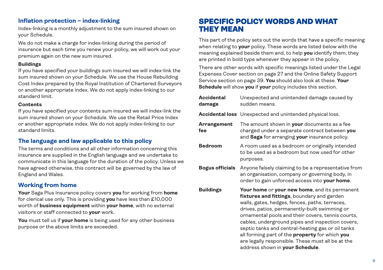### **Inflation protection – index-linking**

Index-linking is a monthly adjustment to the sum insured shown on your Schedule.

We do not make a charge for index-linking during the period of insurance but each time you renew your policy, we will work out your premium again on the new sum insured.

### **Buildings**

If you have specified your buildings sum insured we will index-link the sum insured shown on your Schedule. We use the House Rebuilding Cost Index prepared by the Royal Institution of Chartered Surveyors or another appropriate index. We do not apply index-linking to our standard limit.

### **Contents**

If you have specified your contents sum insured we will index-link the sum insured shown on your Schedule. We use the Retail Price Index or another appropriate index. We do not apply index-linking to our standard limits.

### **The language and law applicable to this policy**

The terms and conditions and all other information concerning this insurance are supplied in the English language and we undertake to communicate in this language for the duration of the policy. Unless we have agreed otherwise, this contract will be governed by the law of England and Wales.

### **Working from home**

**Your** Saga Plus Insurance policy covers **you** for working from **home** for clerical use only. This is providing **you** have less than £10,000 worth of **business equipment** within **your home**, with no external visitors or staff connected to **your** work.

**You** must tell us if **your home** is being used for any other business purpose or the above limits are exceeded.

### SPECIFIC POLICY WORDS AND WHAT THEY MEAN

This part of the policy sets out the words that have a specific meaning when relating to **your** policy. These words are listed below with the meaning explained beside them and, to help **you** identify them, they are printed in bold type whenever they appear in the policy.

There are other words with specific meanings listed under the Legal Expenses Cover section on page 27 and the Online Safety Support Service section on page 39. **You** should also look at these. **Your Schedule** will show **you** if **your** policy includes this section.

| Accidental<br>damage   | Unexpected and unintended damage caused by<br>sudden means.                                                                                                                                                                                                                                                                                                                                                                                                                                                   |
|------------------------|---------------------------------------------------------------------------------------------------------------------------------------------------------------------------------------------------------------------------------------------------------------------------------------------------------------------------------------------------------------------------------------------------------------------------------------------------------------------------------------------------------------|
|                        | <b>Accidental loss</b> Unexpected and unintended physical loss.                                                                                                                                                                                                                                                                                                                                                                                                                                               |
| Arrangement<br>fee     | The amount shown in <b>your</b> documents as a fee<br>charged under a separate contract between you<br>and Saga for arranging your insurance policy.                                                                                                                                                                                                                                                                                                                                                          |
| <b>Bedroom</b>         | A room used as a bedroom or originally intended<br>to be used as a bedroom but now used for other<br>purposes.                                                                                                                                                                                                                                                                                                                                                                                                |
| <b>Bogus officials</b> | Anyone falsely claiming to be a representative from<br>an organisation, company or governing body, in<br>order to gain unforced access into your home.                                                                                                                                                                                                                                                                                                                                                        |
| <b>Buildings</b>       | Your home or your new home, and its permanent<br>fixtures and fittings, boundary and garden<br>walls, gates, hedges, fences, paths, terraces,<br>drives, patios, permanently-built swimming or<br>ornamental pools and their covers, tennis courts,<br>cables, underground pipes and inspection covers,<br>septic tanks and central-heating gas or oil tanks<br>all forming part of the <b>property</b> for which you<br>are legally responsible. These must all be at the<br>address shown in your Schedule. |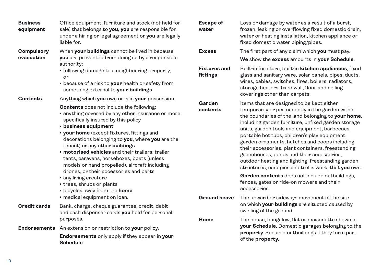| <b>Business</b><br>equipment    | Office equipment, furniture and stock (not held for<br>sale) that belongs to you, you are responsible for<br>under a hiring or legal agreement or you are legally<br>liable for.                                                                                                                                                                                                                                                                                                                                                                                                                                                                                               | <b>Escape of</b><br>water                 | Loss or damage by water as a result of a burst,<br>frozen, leaking or overflowing fixed domestic drain,<br>water or heating installation, kitchen appliance or<br>fixed domestic water piping/pipes.                                                                                                                                                                                                                                                                                                                                                                                                                                                                                                                                     |
|---------------------------------|--------------------------------------------------------------------------------------------------------------------------------------------------------------------------------------------------------------------------------------------------------------------------------------------------------------------------------------------------------------------------------------------------------------------------------------------------------------------------------------------------------------------------------------------------------------------------------------------------------------------------------------------------------------------------------|-------------------------------------------|------------------------------------------------------------------------------------------------------------------------------------------------------------------------------------------------------------------------------------------------------------------------------------------------------------------------------------------------------------------------------------------------------------------------------------------------------------------------------------------------------------------------------------------------------------------------------------------------------------------------------------------------------------------------------------------------------------------------------------------|
| <b>Compulsory</b><br>evacuation | When your buildings cannot be lived in because<br>you are prevented from doing so by a responsible                                                                                                                                                                                                                                                                                                                                                                                                                                                                                                                                                                             | <b>Excess</b>                             | The first part of any claim which you must pay.<br>We show the excess amounts in your Schedule.                                                                                                                                                                                                                                                                                                                                                                                                                                                                                                                                                                                                                                          |
|                                 | authority:<br>• following damage to a neighbouring property;<br>or<br>• because of a risk to your health or safety from<br>something external to your buildings.                                                                                                                                                                                                                                                                                                                                                                                                                                                                                                               | <b>Fixtures and</b><br>fittings           | Built-in furniture, built-in kitchen appliances, fixed<br>glass and sanitary ware, solar panels, pipes, ducts,<br>wires, cables, switches, fires, boilers, radiators,<br>storage heaters, fixed wall, floor and ceiling<br>coverings other than carpets.                                                                                                                                                                                                                                                                                                                                                                                                                                                                                 |
| <b>Contents</b>                 | Anything which you own or is in your possession.<br><b>Contents</b> does not include the following:<br>• anything covered by any other insurance or more<br>specifically insured by this policy<br>• business equipment<br>• your home (except fixtures, fittings and<br>decorations belonging to you, where you are the<br>tenant) or any other buildings<br>• motorised vehicles and their trailers, trailer<br>tents, caravans, horseboxes, boats (unless<br>models or hand propelled), aircraft including<br>drones, or their accessories and parts<br>• any living creature<br>• trees, shrubs or plants<br>• bicycles away from the home<br>• medical equipment on loan. | Garden<br>contents<br><b>Ground heave</b> | Items that are designed to be kept either<br>temporarily or permanently in the garden within<br>the boundaries of the land belonging to your home,<br>including garden furniture, unfixed garden storage<br>units, garden tools and equipment, barbecues,<br>portable hot tubs, children's play equipment,<br>garden ornaments, hutches and coops including<br>their accessories, plant containers, freestanding<br>greenhouses, ponds and their accessories,<br>outdoor heating and lighting, freestanding garden<br>structures, canopies and trellis work, that you own.<br>Garden contents does not include outbuildings,<br>fences, gates or ride-on mowers and their<br>accessories.<br>The upward or sideways movement of the site |
| <b>Credit cards</b>             | Bank, charge, cheque guarantee, credit, debit<br>and cash dispenser cards you hold for personal                                                                                                                                                                                                                                                                                                                                                                                                                                                                                                                                                                                |                                           | on which your buildings are situated caused by<br>swelling of the ground.                                                                                                                                                                                                                                                                                                                                                                                                                                                                                                                                                                                                                                                                |
| <b>Endorsements</b>             | purposes.<br>An extension or restriction to your policy.<br><b>Endorsements</b> only apply if they appear in your<br>Schedule.                                                                                                                                                                                                                                                                                                                                                                                                                                                                                                                                                 | Home                                      | The house, bungalow, flat or maisonette shown in<br>your Schedule. Domestic garages belonging to the<br>property. Secured outbuildings if they form part<br>of the property.                                                                                                                                                                                                                                                                                                                                                                                                                                                                                                                                                             |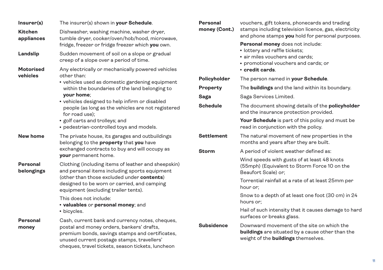| Insurer(s)                    | The insurer(s) shown in your Schedule.                                                                                                                                                                                                                                                                                                                                                      | Personal                                            |
|-------------------------------|---------------------------------------------------------------------------------------------------------------------------------------------------------------------------------------------------------------------------------------------------------------------------------------------------------------------------------------------------------------------------------------------|-----------------------------------------------------|
| <b>Kitchen</b><br>appliances  | Dishwasher, washing machine, washer dryer,<br>tumble dryer, cooker/oven/hob/hood, microwave,<br>fridge, freezer or fridge freezer which you own.                                                                                                                                                                                                                                            | money (Con                                          |
| Landslip                      | Sudden movement of soil on a slope or gradual<br>creep of a slope over a period of time.                                                                                                                                                                                                                                                                                                    |                                                     |
| <b>Motorised</b><br>vehicles  | Any electrically or mechanically powered vehicles<br>other than:<br>• vehicles used as domestic gardening equipment<br>within the boundaries of the land belonging to<br>your home:<br>• vehicles designed to help infirm or disabled<br>people (as long as the vehicles are not registered<br>for road use);<br>· golf carts and trolleys; and<br>• pedestrian-controlled toys and models. | Policyholder<br>Property<br>Saga<br><b>Schedule</b> |
| New home                      | The private house, its garages and outbuildings<br>belonging to the <b>property</b> that you have<br>exchanged contracts to buy and will occupy as<br>your permanent home.                                                                                                                                                                                                                  | Settlement<br>Storm                                 |
| <b>Personal</b><br>belongings | Clothing (including items of leather and sheepskin)<br>and personal items including sports equipment<br>(other than those excluded under contents)<br>designed to be worn or carried, and camping<br>equipment (excluding trailer tents).<br>This does not include:<br>· valuables or personal money; and<br>• bicycles.                                                                    |                                                     |
| <b>Personal</b><br>money      | Cash, current bank and currency notes, cheques,<br>postal and money orders, bankers' drafts,<br>premium bonds, savings stamps and certificates,<br>unused current postage stamps, travellers'<br>cheques, travel tickets, season tickets, luncheon                                                                                                                                          | <b>Subsidence</b>                                   |

| Personal<br>money (Cont.) | vouchers, gift tokens, phonecards and trading<br>stamps including television licence, gas, electricity<br>and phone stamps you hold for personal purposes.      |  |  |
|---------------------------|-----------------------------------------------------------------------------------------------------------------------------------------------------------------|--|--|
|                           | Personal money does not include:<br>• lottery and raffle tickets;<br>· air miles vouchers and cards;<br>• promotional vouchers and cards; or<br>• credit cards. |  |  |
| Policyholder              | The person named in <b>your Schedule</b> .                                                                                                                      |  |  |
| Property                  | The <b>buildings</b> and the land within its boundary.                                                                                                          |  |  |
| Saga                      | Saga Services Limited.                                                                                                                                          |  |  |
| <b>Schedule</b>           | The document showing details of the <b>policyholder</b><br>and the insurance protection provided.                                                               |  |  |
|                           | Your Schedule is part of this policy and must be<br>read in conjunction with the policy.                                                                        |  |  |
| <b>Settlement</b>         | The natural movement of new properties in the<br>months and years after they are built.                                                                         |  |  |
| <b>Storm</b>              | A period of violent weather defined as:                                                                                                                         |  |  |
|                           | Wind speeds with gusts of at least 48 knots<br>(55mph) (Equivalent to Storm Force 10 on the<br>Beaufort Scale) or:                                              |  |  |
|                           | Torrential rainfall at a rate of at least 25mm per<br>hour or:                                                                                                  |  |  |
|                           | Snow to a depth of at least one foot (30 cm) in 24<br>hours or:                                                                                                 |  |  |
|                           | Hail of such intensity that it causes damage to hard<br>surfaces or breaks glass.                                                                               |  |  |
| <b>Subsidence</b>         | Downward movement of the site on which the<br><b>buildings</b> are situated by a cause other than the<br>weight of the <b>buildings</b> themselves.             |  |  |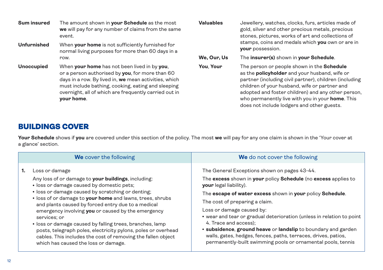**Sum insured** The amount shown in **your Schedule** as the most **we** will pay for any number of claims from the same event.

- **Unfurnished** When **your home** is not sufficiently furnished for normal living purposes for more than 60 days in a row.
- **Unoccupied** When **your home** has not been lived in by **you**, or a person authorised by **you**, for more than 60 days in a row. By lived in, **we** mean activities, which must include bathing, cooking, eating and sleeping overnight, all of which are frequently carried out in **your home**.

**Valuables** Jewellery, watches, clocks, furs, articles made of gold, silver and other precious metals, precious stones, pictures, works of art and collections of stamps, coins and medals which **you** own or are in **your** possession.

**We, Our, Us** The **insurer(s)** shown in **your Schedule**.

**You**, **Your** The person or people shown in the **Schedule** as the **policyholder** and your husband, wife or partner (including civil partner), children (including children of your husband, wife or partner and adopted and foster children) and any other person, who permanently live with you in your **home**. This does not include lodgers and other guests.

## BUILDINGS COVER

**Your Schedule** shows if **you** are covered under this section of the policy. The most **we** will pay for any one claim is shown in the 'Your cover at a glance' section.

|    | We cover the following                                                                                                                                                                                                                                                                                                                                                                                                                                                                                                                                                                                | We do not cover the following                                                                                                                                                                                                                                                                                                                                                                                                                                                                                                                                             |
|----|-------------------------------------------------------------------------------------------------------------------------------------------------------------------------------------------------------------------------------------------------------------------------------------------------------------------------------------------------------------------------------------------------------------------------------------------------------------------------------------------------------------------------------------------------------------------------------------------------------|---------------------------------------------------------------------------------------------------------------------------------------------------------------------------------------------------------------------------------------------------------------------------------------------------------------------------------------------------------------------------------------------------------------------------------------------------------------------------------------------------------------------------------------------------------------------------|
| 1. | Loss or damage<br>Any loss of or damage to your buildings, including:<br>· loss or damage caused by domestic pets;<br>• loss or damage caused by scratching or denting;<br>. loss of or damage to your home and lawns, trees, shrubs<br>and plants caused by forced entry due to a medical<br>emergency involving you or caused by the emergency<br>services; or<br>• loss or damage caused by falling trees, branches, lamp<br>posts, telegraph poles, electricity pylons, poles or overhead<br>cables. This includes the cost of removing the fallen object<br>which has caused the loss or damage. | The General Exceptions shown on pages 43-44.<br>The excess shown in your policy Schedule (no excess applies to<br>your legal liability).<br>The escape of water excess shown in your policy Schedule.<br>The cost of preparing a claim.<br>Loss or damage caused by:<br>• wear and tear or gradual deterioration (unless in relation to point<br>4. Trace and access):<br>• subsidence, ground heave or landslip to boundary and garden<br>walls, gates, hedges, fences, paths, terraces, drives, patios,<br>permanently-built swimming pools or ornamental pools, tennis |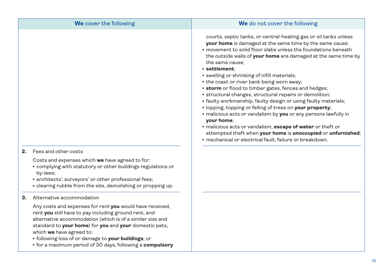|    | We cover the following                                                                                                                                                                                                                                                                                                                                                                   | We do not cover the following                                                                                                                                                                                                                                                                                                                                                                                                                                                                                                                                                                                                                                                                                                                                                                                                                                                                                                 |
|----|------------------------------------------------------------------------------------------------------------------------------------------------------------------------------------------------------------------------------------------------------------------------------------------------------------------------------------------------------------------------------------------|-------------------------------------------------------------------------------------------------------------------------------------------------------------------------------------------------------------------------------------------------------------------------------------------------------------------------------------------------------------------------------------------------------------------------------------------------------------------------------------------------------------------------------------------------------------------------------------------------------------------------------------------------------------------------------------------------------------------------------------------------------------------------------------------------------------------------------------------------------------------------------------------------------------------------------|
|    |                                                                                                                                                                                                                                                                                                                                                                                          | courts, septic tanks, or central-heating gas or oil tanks unless<br>your home is damaged at the same time by the same cause;<br>• movement to solid floor slabs unless the foundations beneath<br>the outside walls of your home are damaged at the same time by<br>the same cause:<br>· settlement:<br>• swelling or shrinking of infill materials;<br>• the coast or river bank being worn away;<br>• storm or flood to timber gates, fences and hedges;<br>• structural changes, structural repairs or demolition;<br>• faulty workmanship, faulty design or using faulty materials;<br>· lopping, topping or felling of trees on your property;<br>· malicious acts or vandalism by you or any persons lawfully in<br>your home;<br>• malicious acts or vandalism, escape of water or theft or<br>attempted theft when your home is unoccupied or unfurnished;<br>· mechanical or electrical fault, failure or breakdown. |
| 2. | Fees and other costs<br>Costs and expenses which we have agreed to for:<br>• complying with statutory or other buildings regulations or<br>by-laws;<br>• architects', surveyors' or other professional fees;<br>• clearing rubble from the site, demolishing or propping up.                                                                                                             |                                                                                                                                                                                                                                                                                                                                                                                                                                                                                                                                                                                                                                                                                                                                                                                                                                                                                                                               |
| З. | Alternative accommodation                                                                                                                                                                                                                                                                                                                                                                |                                                                                                                                                                                                                                                                                                                                                                                                                                                                                                                                                                                                                                                                                                                                                                                                                                                                                                                               |
|    | Any costs and expenses for rent you would have received,<br>rent you still have to pay including ground rent, and<br>alternative accommodation (which is of a similar size and<br>standard to your home) for you and your domestic pets,<br>which we have agreed to:<br>· following loss of or damage to your buildings; or<br>• for a maximum period of 30 days, following a compulsory |                                                                                                                                                                                                                                                                                                                                                                                                                                                                                                                                                                                                                                                                                                                                                                                                                                                                                                                               |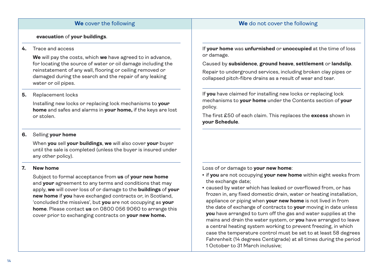### **We** cover the following **We** do not cover the following

### **evacuation** of **your buildings**.

### **4.** Trace and access

 **We** will pay the costs, which **we** have agreed to in advance, for locating the source of water or oil damage including the reinstatement of any wall, flooring or ceiling removed or damaged during the search and the repair of any leaking water or oil pipes.

### **5.** Replacement locks

 Installing new locks or replacing lock mechanisms to **your home** and safes and alarms in **your home,** if the keys are lost or stolen.

### **6.** Selling **your home**

 When **you** sell **your buildings**, **we** will also cover **your** buyer until the sale is completed (unless the buyer is insured under any other policy).

### **7. New home**

 Subject to formal acceptance from **us** of **your new home** and **your** agreement to any terms and conditions that may apply, **we** will cover loss of or damage to the **buildings** of **your new home** if **you** have exchanged contracts or, in Scotland, 'concluded the missives', but **you** are not occupying as **your home**. Please contact **us** on 0800 056 9060 to arrange this cover prior to exchanging contracts on **your new home.**

If **your home** was **unfurnished** or **unoccupied** at the time of loss or damage.

Caused by **subsidence**, **ground heave**, **settlement** or **landslip**.

Repair to underground services, including broken clay pipes or collapsed pitch-fibre drains as a result of wear and tear.

If **you** have claimed for installing new locks or replacing lock mechanisms to **your home** under the Contents section of **your** policy.

The first £50 of each claim. This replaces the **excess** shown in **your Schedule**.

Loss of or damage to **your new home**:

- **.** if you are not occupying your new home within eight weeks from the exchange date;
- caused by water which has leaked or overflowed from, or has frozen in, any fixed domestic drain, water or heating installation, appliance or piping when **your new home** is not lived in from the date of exchange of contracts to **your** moving in date unless **you** have arranged to turn off the gas and water supplies at the mains and drain the water system, or **you** have arranged to leave a central heating system working to prevent freezing, in which case the temperature control must be set to at least 58 degrees Fahrenheit (14 degrees Centigrade) at all times during the period 1 October to 31 March inclusive;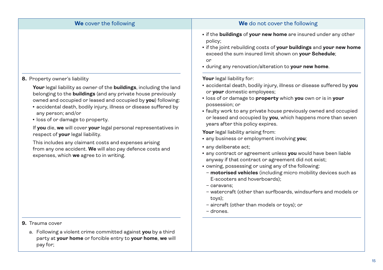| We cover the following                                                                                                                                                                                                                                                                                                                                                                                                                                                                                                                                                                                                                             | We do not cover the following                                                                                                                                                                                                                                                                                                                                                                                                                                                                                                                                                                                                                                                                                                                                                                                                                                                                                                                                                                                                                                                       |
|----------------------------------------------------------------------------------------------------------------------------------------------------------------------------------------------------------------------------------------------------------------------------------------------------------------------------------------------------------------------------------------------------------------------------------------------------------------------------------------------------------------------------------------------------------------------------------------------------------------------------------------------------|-------------------------------------------------------------------------------------------------------------------------------------------------------------------------------------------------------------------------------------------------------------------------------------------------------------------------------------------------------------------------------------------------------------------------------------------------------------------------------------------------------------------------------------------------------------------------------------------------------------------------------------------------------------------------------------------------------------------------------------------------------------------------------------------------------------------------------------------------------------------------------------------------------------------------------------------------------------------------------------------------------------------------------------------------------------------------------------|
| 8. Property owner's liability<br>Your legal liability as owner of the buildings, including the land<br>belonging to the <b>buildings</b> (and any private house previously<br>owned and occupied or leased and occupied by you) following:<br>· accidental death, bodily injury, illness or disease suffered by<br>any person; and/or<br>· loss of or damage to property.<br>If you die, we will cover your legal personal representatives in<br>respect of your legal liability.<br>This includes any claimant costs and expenses arising<br>from any one accident. We will also pay defence costs and<br>expenses, which we agree to in writing. | • if the buildings of your new home are insured under any other<br>policy;<br>. if the joint rebuilding costs of your buildings and your new home<br>exceed the sum insured limit shown on your Schedule;<br>or<br>. during any renovation/alteration to your new home.<br>Your legal liability for:<br>· accidental death, bodily injury, illness or disease suffered by you<br>or your domestic employees;<br>. loss of or damage to property which you own or is in your<br>possession; or<br>• faulty work to any private house previously owned and occupied<br>or leased and occupied by you, which happens more than seven<br>years after this policy expires.<br>Your legal liability arising from:<br>• any business or employment involving you;<br>· any deliberate act;<br>· any contract or agreement unless you would have been liable<br>anyway if that contract or agreement did not exist;<br>• owning, possessing or using any of the following:<br>- motorised vehicles (including micro mobility devices such as<br>E-scooters and hoverboards);<br>- caravans; |
|                                                                                                                                                                                                                                                                                                                                                                                                                                                                                                                                                                                                                                                    | - watercraft (other than surfboards, windsurfers and models or<br>toys);<br>- aircraft (other than models or toys); or                                                                                                                                                                                                                                                                                                                                                                                                                                                                                                                                                                                                                                                                                                                                                                                                                                                                                                                                                              |
| 9. Trauma cover<br>a. Following a violent crime committed against you by a third                                                                                                                                                                                                                                                                                                                                                                                                                                                                                                                                                                   | - drones.                                                                                                                                                                                                                                                                                                                                                                                                                                                                                                                                                                                                                                                                                                                                                                                                                                                                                                                                                                                                                                                                           |
| party at your home or forcible entry to your home, we will<br>pay for;                                                                                                                                                                                                                                                                                                                                                                                                                                                                                                                                                                             |                                                                                                                                                                                                                                                                                                                                                                                                                                                                                                                                                                                                                                                                                                                                                                                                                                                                                                                                                                                                                                                                                     |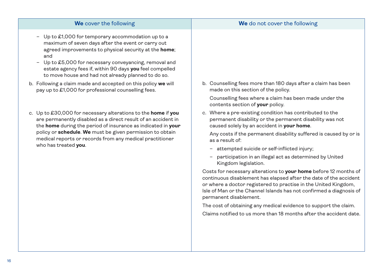| - Up to £1,000 for temporary accommodation up to a<br>maximum of seven days after the event or carry out<br>agreed improvements to physical security at the home;<br>and<br>Up to £5,000 for necessary conveyancing, removal and<br>$\overline{\phantom{0}}$<br>estate agency fees if, within 90 days you feel compelled<br>to move house and had not already planned to do so. |                                                                                                                                                                    |
|---------------------------------------------------------------------------------------------------------------------------------------------------------------------------------------------------------------------------------------------------------------------------------------------------------------------------------------------------------------------------------|--------------------------------------------------------------------------------------------------------------------------------------------------------------------|
| b. Following a claim made and accepted on this policy we will<br>pay up to £1,000 for professional counselling fees.                                                                                                                                                                                                                                                            | b. Counselling fees more than 180 days after a claim has been<br>made on this section of the policy.                                                               |
|                                                                                                                                                                                                                                                                                                                                                                                 | Counselling fees where a claim has been made under the<br>contents section of your policy.                                                                         |
| c. Up to £30,000 for necessary alterations to the home if you<br>are permanently disabled as a direct result of an accident in<br>the home during the period of insurance as indicated in your<br>policy or schedule. We must be given permission to obtain<br>medical reports or records from any medical practitioner<br>who has treated you.                                 | c. Where a pre-existing condition has contributed to the<br>permanent disability or the permanent disability was not<br>caused solely by an accident in your home. |
|                                                                                                                                                                                                                                                                                                                                                                                 | Any costs if the permanent disability suffered is caused by or is<br>as a result of:                                                                               |
|                                                                                                                                                                                                                                                                                                                                                                                 | - attempted suicide or self-inflicted injury;                                                                                                                      |
|                                                                                                                                                                                                                                                                                                                                                                                 | participation in an illegal act as determined by United<br>Kingdom legislation.                                                                                    |
|                                                                                                                                                                                                                                                                                                                                                                                 | Costs for necessary alterations to your home before 12 months of<br>continuous disablement has elapsed after the date of the accident                              |

**We** cover the following **We** do not cover the following

or where a doctor registered to practise in the United Kingdom, Isle of Man or the Channel Islands has not confirmed a diagnosis of permanent disablement.

The cost of obtaining any medical evidence to support the claim. Claims notified to us more than 18 months after the accident date.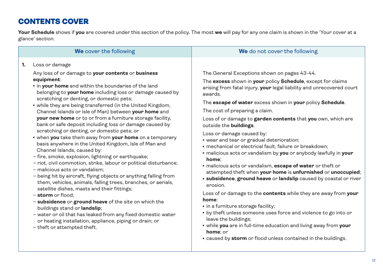# CONTENTS COVER

**Your Schedule** shows if **you** are covered under this section of the policy. The most **we** will pay for any one claim is shown in the 'Your cover at a glance' section.

|    | We cover the following                                                                                                                                                                                                                                                                                                                                                                                                                                                                                                                                                                                                                                                                                                                                                                                                                                                                                                                                                                                                                                                                                                                                                                                                                                                                                                          | We do not cover the following                                                                                                                                                                                                                                                                                                                                                                                                                                                                                                                                                                                                                                                                                                                                                                                                                                                                                                                                                                                                                                                                                                                                                                  |
|----|---------------------------------------------------------------------------------------------------------------------------------------------------------------------------------------------------------------------------------------------------------------------------------------------------------------------------------------------------------------------------------------------------------------------------------------------------------------------------------------------------------------------------------------------------------------------------------------------------------------------------------------------------------------------------------------------------------------------------------------------------------------------------------------------------------------------------------------------------------------------------------------------------------------------------------------------------------------------------------------------------------------------------------------------------------------------------------------------------------------------------------------------------------------------------------------------------------------------------------------------------------------------------------------------------------------------------------|------------------------------------------------------------------------------------------------------------------------------------------------------------------------------------------------------------------------------------------------------------------------------------------------------------------------------------------------------------------------------------------------------------------------------------------------------------------------------------------------------------------------------------------------------------------------------------------------------------------------------------------------------------------------------------------------------------------------------------------------------------------------------------------------------------------------------------------------------------------------------------------------------------------------------------------------------------------------------------------------------------------------------------------------------------------------------------------------------------------------------------------------------------------------------------------------|
| 1. | Loss or damage<br>Any loss of or damage to your contents or business<br>equipment:<br>. in your home and within the boundaries of the land<br>belonging to your home including loss or damage caused by<br>scratching or denting, or domestic pets;<br>• while they are being transferred (in the United Kingdom,<br>Channel Islands or Isle of Man) between your home and<br>your new home or to or from a furniture storage facility,<br>bank or safe deposit including loss or damage caused by<br>scratching or denting, or domestic pets; or<br>• when you take them away from your home on a temporary<br>basis anywhere in the United Kingdom, Isle of Man and<br>Channel Islands, caused by:<br>- fire, smoke, explosion, lightning or earthquake;<br>- riot, civil commotion, strike, labour or political disturbance;<br>- malicious acts or vandalism;<br>- being hit by aircraft, flying objects or anything falling from<br>them, vehicles, animals, falling trees, branches, or aerials,<br>satellite dishes, masts and their fittings;<br>$-$ storm or flood:<br>- subsidence or ground heave of the site on which the<br>buildings stand or landslip;<br>- water or oil that has leaked from any fixed domestic water<br>or heating installation, appliance, piping or drain; or<br>- theft or attempted theft. | The General Exceptions shown on pages 43-44.<br>The excess shown in your policy Schedule, except for claims<br>arising from fatal injury, your legal liability and unrecovered court<br>awards.<br>The escape of water excess shown in your policy Schedule.<br>The cost of preparing a claim.<br>Loss of or damage to garden contents that you own, which are<br>outside the buildings.<br>Loss or damage caused by:<br>• wear and tear or gradual deterioration;<br>· mechanical or electrical fault, failure or breakdown;<br>· malicious acts or vandalism by you or anybody lawfully in your<br>home:<br>• malicious acts or vandalism, escape of water or theft or<br>attempted theft when your home is unfurnished or unoccupied;<br><b>· subsidence, ground heave or landslip</b> caused by coastal or river<br>erosion.<br>Loss of or damage to the contents while they are away from your<br>home:<br>• in a furniture storage facility;<br>• by theft unless someone uses force and violence to go into or<br>leave the buildings;<br>. while you are in full-time education and living away from your<br>home: or<br>• caused by storm or flood unless contained in the buildings. |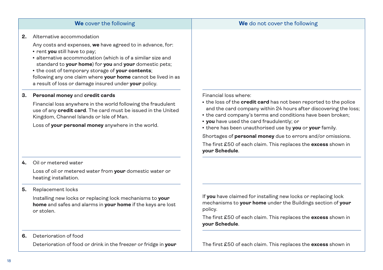|    | We cover the following                                                                                                                                                                                                                                                                                                                | We do not cover the following                                                                                                                                                                               |
|----|---------------------------------------------------------------------------------------------------------------------------------------------------------------------------------------------------------------------------------------------------------------------------------------------------------------------------------------|-------------------------------------------------------------------------------------------------------------------------------------------------------------------------------------------------------------|
| 2. | Alternative accommodation<br>Any costs and expenses, we have agreed to in advance, for:                                                                                                                                                                                                                                               |                                                                                                                                                                                                             |
|    | • rent you still have to pay;<br>• alternative accommodation (which is of a similar size and<br>standard to your home) for you and your domestic pets;<br>• the cost of temporary storage of your contents;<br>following any one claim where your home cannot be lived in as<br>a result of loss or damage insured under your policy. |                                                                                                                                                                                                             |
| З. | Personal money and credit cards                                                                                                                                                                                                                                                                                                       | Financial loss where:                                                                                                                                                                                       |
|    | Financial loss anywhere in the world following the fraudulent<br>use of any credit card. The card must be issued in the United<br>Kingdom, Channel Islands or Isle of Man.                                                                                                                                                            | • the loss of the <b>credit card</b> has not been reported to the police<br>and the card company within 24 hours after discovering the loss;<br>• the card company's terms and conditions have been broken; |
|    | Loss of your personal money anywhere in the world.                                                                                                                                                                                                                                                                                    | . you have used the card fraudulently; or<br>. there has been unauthorised use by you or your family.                                                                                                       |
|    |                                                                                                                                                                                                                                                                                                                                       | Shortages of personal money due to errors and/or omissions.                                                                                                                                                 |
|    |                                                                                                                                                                                                                                                                                                                                       | The first £50 of each claim. This replaces the excess shown in<br>vour Schedule.                                                                                                                            |
| 4. | Oil or metered water                                                                                                                                                                                                                                                                                                                  |                                                                                                                                                                                                             |
|    | Loss of oil or metered water from your domestic water or<br>heating installation.                                                                                                                                                                                                                                                     |                                                                                                                                                                                                             |
| 5. | Replacement locks                                                                                                                                                                                                                                                                                                                     |                                                                                                                                                                                                             |
|    | Installing new locks or replacing lock mechanisms to your<br>home and safes and alarms in your home if the keys are lost<br>or stolen.                                                                                                                                                                                                | If you have claimed for installing new locks or replacing lock<br>mechanisms to your home under the Buildings section of your<br>policy.                                                                    |
|    |                                                                                                                                                                                                                                                                                                                                       | The first £50 of each claim. This replaces the excess shown in<br>your Schedule.                                                                                                                            |
| 6. | Deterioration of food                                                                                                                                                                                                                                                                                                                 |                                                                                                                                                                                                             |

Deterioration of food or drink in the freezer or fridge in **your**

The first £50 of each claim. This replaces the **excess** shown in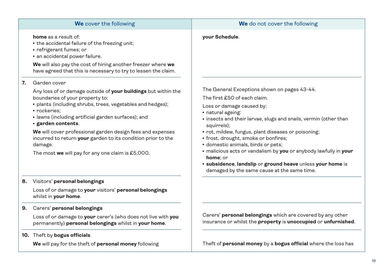|                                                                                                        | We cover the following                                                                                                                                                                                                                                                                                                                                                    | We do not cover the following                                                                                                                                                                                                                                                                                                                                                                                                                                                                                                                       |
|--------------------------------------------------------------------------------------------------------|---------------------------------------------------------------------------------------------------------------------------------------------------------------------------------------------------------------------------------------------------------------------------------------------------------------------------------------------------------------------------|-----------------------------------------------------------------------------------------------------------------------------------------------------------------------------------------------------------------------------------------------------------------------------------------------------------------------------------------------------------------------------------------------------------------------------------------------------------------------------------------------------------------------------------------------------|
| <b>home</b> as a result of:<br>• refrigerant fumes; or<br>· an accidental power failure.               | • the accidental failure of the freezing unit;<br>We will also pay the cost of hiring another freezer where we<br>have agreed that this is necessary to try to lessen the claim.                                                                                                                                                                                          | your Schedule.                                                                                                                                                                                                                                                                                                                                                                                                                                                                                                                                      |
| Garden cover<br>7.<br>boundaries of your property to:<br>· rockeries;<br>· garden contents.<br>damage. | Any loss of or damage outside of your buildings but within the<br>• plants (including shrubs, trees, vegetables and hedges);<br>• lawns (including artificial garden surfaces); and<br>We will cover professional garden design fees and expenses<br>incurred to return your garden to its condition prior to the<br>The most we will pay for any one claim is $£5,000$ . | The General Exceptions shown on pages 43-44.<br>The first £50 of each claim.<br>Loss or damage caused by:<br>· natural ageing:<br>• insects and their larvae, slugs and snails, vermin (other than<br>squirrels);<br>• rot, mildew, fungus, plant diseases or poisoning;<br>• frost, drought, smoke or bonfires;<br>· domestic animals, birds or pets;<br>· malicious acts or vandalism by you or anybody lawfully in your<br>home; or<br>· subsidence, landslip or ground heave unless your home is<br>damaged by the same cause at the same time. |
| Visitors' personal belongings<br>8.<br>whilst in your home.                                            | Loss of or damage to your visitors' personal belongings                                                                                                                                                                                                                                                                                                                   |                                                                                                                                                                                                                                                                                                                                                                                                                                                                                                                                                     |
|                                                                                                        |                                                                                                                                                                                                                                                                                                                                                                           |                                                                                                                                                                                                                                                                                                                                                                                                                                                                                                                                                     |

**9.** Carers' **personal belongings**

 Loss of or damage to **your** carer's (who does not live with **you**  permanently) **personal belongings** whilst in **your home**.

### **10.** Theft by **bogus officials**

 **We** will pay for the theft of **personal money** following

Carers' **personal belongings** which are covered by any other insurance or whilst the **property** is **unoccupied** or **unfurnished**.

Theft of **personal money** by a **bogus official** where the loss has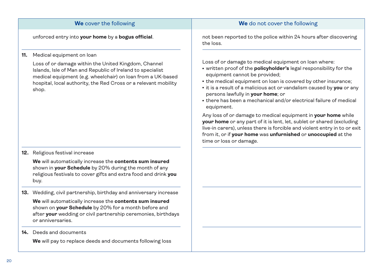| We cover the following                                                                                                                                                                                                                                        | We do not cover the following                                                                                                                                                                                                                                                                                                                                                                                                           |
|---------------------------------------------------------------------------------------------------------------------------------------------------------------------------------------------------------------------------------------------------------------|-----------------------------------------------------------------------------------------------------------------------------------------------------------------------------------------------------------------------------------------------------------------------------------------------------------------------------------------------------------------------------------------------------------------------------------------|
| unforced entry into your home by a bogus official.                                                                                                                                                                                                            | not been reported to the police within 24 hours after discovering<br>the loss.                                                                                                                                                                                                                                                                                                                                                          |
| Medical equipment on loan<br>11.                                                                                                                                                                                                                              |                                                                                                                                                                                                                                                                                                                                                                                                                                         |
| Loss of or damage within the United Kingdom, Channel<br>Islands, Isle of Man and Republic of Ireland to specialist<br>medical equipment (e.g. wheelchair) on loan from a UK-based<br>hospital, local authority, the Red Cross or a relevant mobility<br>shop. | Loss of or damage to medical equipment on loan where:<br>• written proof of the <b>policyholder's</b> legal responsibility for the<br>equipment cannot be provided;<br>• the medical equipment on loan is covered by other insurance;<br>. it is a result of a malicious act or vandalism caused by you or any<br>persons lawfully in your home; or<br>• there has been a mechanical and/or electrical failure of medical<br>equipment. |
|                                                                                                                                                                                                                                                               | Any loss of or damage to medical equipment in your home while<br>your home or any part of it is lent, let, sublet or shared (excluding<br>live-in carers), unless there is forcible and violent entry in to or exit<br>from it, or if your home was unfurnished or unoccupied at the<br>time or loss or damage.                                                                                                                         |

### **12.** Religious festival increase

 **We** will automatically increase the **contents sum insured** shown in **your Schedule** by 20% during the month of any religious festivals to cover gifts and extra food and drink **you** buy.

**13.** Wedding, civil partnership, birthday and anniversary increase

 **We** will automatically increase the **contents sum insured** shown on **your Schedule** by 20% for a month before and after **your** wedding or civil partnership ceremonies, birthdays or anniversaries.

### **14.** Deeds and documents

**We** will pay to replace deeds and documents following loss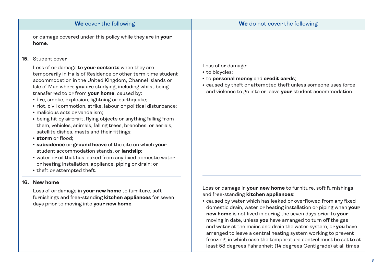or damage covered under this policy while they are in **your home**.

### **15.** Student cover

 Loss of or damage to **your contents** when they are temporarily in Halls of Residence or other term-time student accommodation in the United Kingdom, Channel Islands or Isle of Man where **you** are studying, including whilst being transferred to or from **your home**, caused by:

- fire, smoke, explosion, lightning or earthquake;
- riot, civil commotion, strike, labour or political disturbance;
- malicious acts or vandalism:
- being hit by aircraft, flying objects or anything falling from them, vehicles, animals, falling trees, branches, or aerials, satellite dishes, masts and their fittings;
- **· storm** or flood:
- <sup>l</sup> **subsidence** or **ground heave** of the site on which **your** student accommodation stands, or **landslip**;
- water or oil that has leaked from any fixed domestic water or heating installation, appliance, piping or drain; or
- theft or attempted theft.

### **16. New home**

 Loss of or damage in **your new home** to furniture, soft furnishings and free-standing **kitchen appliances** for seven days prior to moving into **your new home**.

Loss of or damage:

- to bicycles:
- <sup>l</sup> to **personal money** and **credit cards**;
- caused by theft or attempted theft unless someone uses force and violence to go into or leave **your** student accommodation.

Loss or damage in **your new home** to furniture, soft furnishings and free-standing **kitchen appliances**:

• caused by water which has leaked or overflowed from any fixed domestic drain, water or heating installation or piping when **your new home** is not lived in during the seven days prior to **your** moving in date, unless **you** have arranged to turn off the gas and water at the mains and drain the water system, or **you** have arranged to leave a central heating system working to prevent freezing, in which case the temperature control must be set to at least 58 degrees Fahrenheit (14 degrees Centigrade) at all times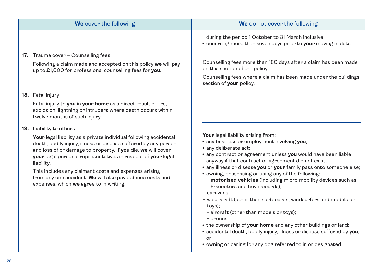### **17.** Trauma cover – Counselling fees

 Following a claim made and accepted on this policy **we** will pay up to £1,000 for professional counselling fees for **you**.

### **18.** Fatal injury

 Fatal injury to **you** in **your home** as a direct result of fire, explosion, lightning or intruders where death occurs within twelve months of such injury.

### **19.** Liability to others

 **Your** legal liability as a private individual following accidental death, bodily injury, illness or disease suffered by any person and loss of or damage to property. If **you** die, **we** will cover **your** legal personal representatives in respect of **your** legal liability.

 This includes any claimant costs and expenses arising from any one accident. **We** will also pay defence costs and expenses, which **we** agree to in writing.

### **We** cover the following **We** do not cover the following

during the period 1 October to 31 March inclusive;

• occurring more than seven days prior to **your** moving in date.

Counselling fees more than 180 days after a claim has been made on this section of the policy.

Counselling fees where a claim has been made under the buildings section of **your** policy.

Your legal liability arising from:

- **any business or employment involving you;**
- any deliberate act:
- **any contract or agreement unless you** would have been liable anyway if that contract or agreement did not exist;
- any illness or disease **you** or **your** family pass onto someone else;
- owning, possessing or using any of the following:
- **motorised vehicles** (including micro mobility devices such as E-scooters and hoverboards);
- caravans;
- watercraft (other than surfboards, windsurfers and models or toys);
- aircraft (other than models or toys);
- drones;
- the ownership of **your home** and any other buildings or land;
- accidental death, bodily injury, illness or disease suffered by **you**; or
- owning or caring for any dog referred to in or designated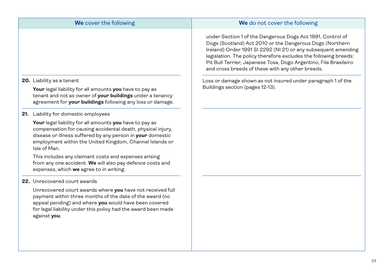|                                         | We cover the following                                                                                                                                                                                                                           | We do not cover the following                                                                                                                                                                                                                                                                                                                                                        |
|-----------------------------------------|--------------------------------------------------------------------------------------------------------------------------------------------------------------------------------------------------------------------------------------------------|--------------------------------------------------------------------------------------------------------------------------------------------------------------------------------------------------------------------------------------------------------------------------------------------------------------------------------------------------------------------------------------|
|                                         |                                                                                                                                                                                                                                                  | under Section 1 of the Dangerous Dogs Act 1991, Control of<br>Dogs (Scotland) Act 2010 or the Dangerous Dogs (Northern<br>Ireland) Order 1991 SI 2292 (NI 21) or any subsequent amending<br>legislation. The policy therefore excludes the following breeds:<br>Pit Bull Terrier, Japanese Tosa, Dogo Argentino, Fila Brasileiro<br>and cross breeds of these with any other breeds. |
| 20. Liability as a tenant               | Your legal liability for all amounts you have to pay as<br>tenant and not as owner of your buildings under a tenancy<br>agreement for your buildings following any loss or damage.                                                               | Loss or damage shown as not insured under paragraph 1 of the<br>Buildings section (pages 12-13).                                                                                                                                                                                                                                                                                     |
| 21. Liability for domestic employees    |                                                                                                                                                                                                                                                  |                                                                                                                                                                                                                                                                                                                                                                                      |
| Isle of Man.                            | Your legal liability for all amounts you have to pay as<br>compensation for causing accidental death, physical injury,<br>disease or illness suffered by any person in your domestic<br>employment within the United Kingdom, Channel Islands or |                                                                                                                                                                                                                                                                                                                                                                                      |
| expenses, which we agree to in writing. | This includes any claimant costs and expenses arising<br>from any one accident. We will also pay defence costs and                                                                                                                               |                                                                                                                                                                                                                                                                                                                                                                                      |
| 22. Unrecovered court awards            |                                                                                                                                                                                                                                                  |                                                                                                                                                                                                                                                                                                                                                                                      |
| against you.                            | Unrecovered court awards where you have not received full<br>payment within three months of the date of the award (no<br>appeal pending) and where you would have been covered<br>for legal liability under this policy had the award been made  |                                                                                                                                                                                                                                                                                                                                                                                      |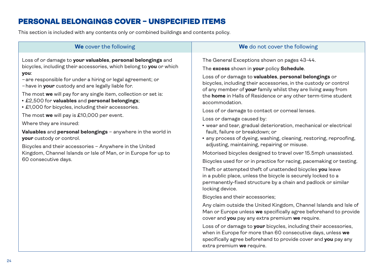### PERSONAL BELONGINGS COVER – UNSPECIFIED ITEMS

This section is included with any contents only or combined buildings and contents policy.

Loss of or damage to **your valuables**, **personal belongings** and bicycles, including their accessories, which belong to **you** or which **you**:

- –are responsible for under a hiring or legal agreement; or
- –have in **your** custody and are legally liable for.

The most **we** will pay for any single item, collection or set is:

- <sup>l</sup> £2,500 for **valuables** and **personal belongings**;
- £1,000 for bicycles, including their accessories.

The most **we** will pay is £10,000 per event.

Where they are insured:

**Valuables** and **personal belongings** – anywhere in the world in **your** custody or control.

Bicycles and their accessories – Anywhere in the United Kingdom, Channel Islands or Isle of Man, or in Europe for up to 60 consecutive days.

### **We** cover the following **We** do not cover the following

The General Exceptions shown on pages 43-44.

The **excess** shown in **your** policy **Schedule**.

Loss of or damage to **valuables**, **personal belongings** or bicycles, including their accessories, in the custody or control of any member of **your** family whilst they are living away from the **home** in Halls of Residence or any other term-time student accommodation.

Loss of or damage to contact or corneal lenses.

Loss or damage caused by:

- $\bullet$  wear and tear, gradual deterioration, mechanical or electrical fault, failure or breakdown; or
- any process of dyeing, washing, cleaning, restoring, reproofing, adjusting, maintaining, repairing or misuse.

Motorised bicycles designed to travel over 15.5mph unassisted.

Bicycles used for or in practice for racing, pacemaking or testing.

Theft or attempted theft of unattended bicycles **you** leave in a public place, unless the bicycle is securely locked to a permanently-fixed structure by a chain and padlock or similar locking device.

Bicycles and their accessories;

Any claim outside the United Kingdom, Channel Islands and Isle of Man or Europe unless **we** specifically agree beforehand to provide cover and **you** pay any extra premium **we** require.

Loss of or damage to **your** bicycles, including their accessories, when in Europe for more than 60 consecutive days, unless **we** specifically agree beforehand to provide cover and **you** pay any extra premium **we** require.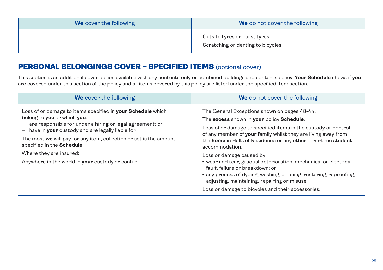| We cover the following | <b>We</b> do not cover the following                                |
|------------------------|---------------------------------------------------------------------|
|                        | Cuts to tyres or burst tyres.<br>Scratching or denting to bicycles. |

### PERSONAL BELONGINGS COVER – SPECIFIED ITEMS (optional cover)

This section is an additional cover option available with any contents only or combined buildings and contents policy. **Your Schedule** shows if **you** are covered under this section of the policy and all items covered by this policy are listed under the specified item section.

| We cover the following                                                                                                                                                                                                                                                                                                                                                                                     | We do not cover the following                                                                                                                                                                                                                                                                                                                                                                                                                                                                                                                                                                                                         |
|------------------------------------------------------------------------------------------------------------------------------------------------------------------------------------------------------------------------------------------------------------------------------------------------------------------------------------------------------------------------------------------------------------|---------------------------------------------------------------------------------------------------------------------------------------------------------------------------------------------------------------------------------------------------------------------------------------------------------------------------------------------------------------------------------------------------------------------------------------------------------------------------------------------------------------------------------------------------------------------------------------------------------------------------------------|
| Loss of or damage to items specified in <b>your Schedule</b> which<br>belong to you or which you:<br>- are responsible for under a hiring or legal agreement; or<br>- have in your custody and are legally liable for.<br>The most we will pay for any item, collection or set is the amount<br>specified in the Schedule.<br>Where they are insured:<br>Anywhere in the world in your custody or control. | The General Exceptions shown on pages 43-44.<br>The excess shown in your policy Schedule.<br>Loss of or damage to specified items in the custody or control<br>of any member of <b>your</b> family whilst they are living away from<br>the home in Halls of Residence or any other term-time student<br>accommodation.<br>Loss or damage caused by:<br>• wear and tear, gradual deterioration, mechanical or electrical<br>fault, failure or breakdown; or<br>• any process of dyeing, washing, cleaning, restoring, reproofing,<br>adjusting, maintaining, repairing or misuse.<br>Loss or damage to bicycles and their accessories. |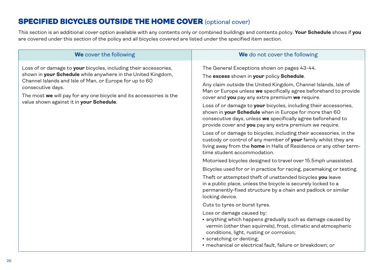### SPECIFIED BICYCLES OUTSIDE THE HOME COVER (optional cover)

This section is an additional cover option available with any contents only or combined buildings and contents policy. **Your Schedule** shows if **you** are covered under this section of the policy and all bicycles covered are listed under the specified item section.

Loss of or damage to **your** bicycles, including their accessories, shown in **your Schedule** while anywhere in the United Kingdom, Channel Islands and Isle of Man, or Europe for up to 60 consecutive days.

The most **we** will pay for any one bicycle and its accessories is the value shown against it in **your Schedule**.

### **We** cover the following **We** do not cover the following

The General Exceptions shown on pages 43-44.

The **excess** shown in **your** policy **Schedule**.

Any claim outside the United Kingdom, Channel Islands, Isle of Man or Europe unless **we** specifically agree beforehand to provide cover and **you** pay any extra premium **we** require.

Loss of or damage to **your** bicycles, including their accessories, shown in **your Schedule** when in Europe for more than 60 consecutive days, unless **we** specifically agree beforehand to provide cover and **you** pay any extra premium we require.

Loss of or damage to bicycles, including their accessories, in the custody or control of any member of **your** family whilst they are living away from the **home** in Halls of Residence or any other termtime student accommodation.

Motorised bicycles designed to travel over 15.5mph unassisted.

Bicycles used for or in practice for racing, pacemaking or testing.

Theft or attempted theft of unattended bicycles **you** leave in a public place, unless the bicycle is securely locked to a permanently-fixed structure by a chain and padlock or similar locking device.

Cuts to tyres or burst tyres.

Loss or damage caused by:

- anything which happens gradually such as damage caused by vermin (other than squirrels), frost, climatic and atmospheric conditions, light, rusting or corrosion;
- scratching or denting;
- mechanical or electrical fault, failure or breakdown; or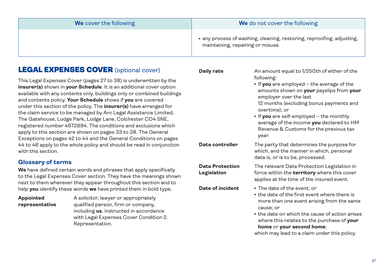| We cover the following | We do not cover the following                                                                              |
|------------------------|------------------------------------------------------------------------------------------------------------|
|                        | • any process of washing, cleaning, restoring, reproofing, adjusting,<br>maintaining, repairing or misuse. |
|                        |                                                                                                            |

### LEGAL EXPENSES COVER (optional cover)

This Legal Expenses Cover (pages 27 to 38) is underwritten by the **insurer(s)** shown in **your Schedule**. It is an additional cover option available with any contents only, buildings only or combined buildings and contents policy. **Your Schedule** shows if **you** are covered under this section of the policy. The **insurer(s)** have arranged for the claim service to be managed by Arc Legal Assistance Limited, The Gatehouse, Lodge Park, Lodge Lane, Colchester CO4 5NE, registered number 4672894. The conditions and exclusions which apply to this section are shown on pages 33 to 38. The General Exceptions on pages 42 to 44 and the General Conditions on pages 44 to 46 apply to the whole policy and should be read in conjunction with this section.

### **Glossary of terms**

**We** have defined certain words and phrases that apply specifically to the Legal Expenses Cover section. They have the meanings shown next to them wherever they appear throughout this section and to help **you** identify these words **we** have printed them in bold type.

### **Appointed representative**

A solicitor, lawyer or appropriately qualified person, firm or company, including **us**, instructed in accordance with Legal Expenses Cover Condition 2. Representation.

**Daily rate** An amount equal to 1/250th of either of the following:

> • If you are employed – the average of the amounts shown on **your** payslips from **your** employer over the last

12 months (excluding bonus payments and overtime); or

• If **you** are self-employed – the monthly average of the income **you** declared to HM Revenue & Customs for the previous tax year.

**Data controller** The party that determines the purpose for which, and the manner in which, personal data is, or is to be, processed.

**Data Protection Legislation**

The relevant Data Protection Legislation in force within the **territory** where this cover applies at the time of the insured event.

- **Date of incident .** The date of the event; or
	- $\cdot$  the date of the first event where there is more than one event arising from the same cause; or
	- $\cdot$  the date on which the cause of action arises where this relates to the purchase of **your home** or **your second home**;

which may lead to a claim under this policy.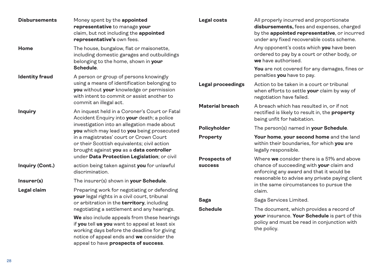| <b>Disbursements</b>  | Money spent by the appointed<br>representative to manage your<br>claim, but not including the appointed<br>representative's own fees.                                                                                                                                                                                                                                                                                        | Legal costs                           | All properly incurred and proportionate<br>disbursements, fees and expenses, charged<br>by the appointed representative, or incurred<br>under any fixed recoverable costs scheme. |
|-----------------------|------------------------------------------------------------------------------------------------------------------------------------------------------------------------------------------------------------------------------------------------------------------------------------------------------------------------------------------------------------------------------------------------------------------------------|---------------------------------------|-----------------------------------------------------------------------------------------------------------------------------------------------------------------------------------|
| Home                  | The house, bungalow, flat or maisonette,<br>including domestic garages and outbuildings<br>belonging to the home, shown in your                                                                                                                                                                                                                                                                                              |                                       | Any opponent's costs which you have been<br>ordered to pay by a court or other body, or<br>we have authorised.                                                                    |
| <b>Identity fraud</b> | Schedule.<br>A person or group of persons knowingly                                                                                                                                                                                                                                                                                                                                                                          |                                       | You are not covered for any damages, fines or<br>penalties you have to pay.                                                                                                       |
|                       | using a means of identification belonging to<br>you without your knowledge or permission<br>with intent to commit or assist another to                                                                                                                                                                                                                                                                                       | Legal proceedings                     | Action to be taken in a court or tribunal<br>when efforts to settle your claim by way of<br>negotiation have failed.                                                              |
| <b>Inquiry</b>        | commit an illegal act.<br>An inquest held in a Coroner's Court or Fatal<br>Accident Enquiry into your death; a police<br>investigation into an allegation made about<br>you which may lead to you being prosecuted<br>in a magistrates' court or Crown Court<br>or their Scottish equivalents; civil action<br>brought against you as a data controller                                                                      | <b>Material breach</b>                | A breach which has resulted in, or if not<br>rectified is likely to result in, the property<br>being unfit for habitation.                                                        |
|                       |                                                                                                                                                                                                                                                                                                                                                                                                                              | Policyholder                          | The person(s) named in your Schedule.                                                                                                                                             |
|                       |                                                                                                                                                                                                                                                                                                                                                                                                                              | Property                              | Your home, your second home and the land<br>within their boundaries, for which you are<br>legally responsible.                                                                    |
| Inquiry (Cont.)       | under Data Protection Legislation; or civil<br>action being taken against you for unlawful<br>discrimination.                                                                                                                                                                                                                                                                                                                | <b>Prospects of</b><br><b>success</b> | Where we consider there is a 51% and above<br>chance of succeeding with your claim and<br>enforcing any award and that it would be                                                |
| Insurer(s)            | The insurer(s) shown in your Schedule.                                                                                                                                                                                                                                                                                                                                                                                       |                                       | reasonable to advise any private paying client<br>in the same circumstances to pursue the                                                                                         |
| Legal claim           | Preparing work for negotiating or defending<br>your legal rights in a civil court, tribunal<br>or arbitration in the territory, including<br>negotiating a settlement and any hearings.<br>We also include appeals from these hearings<br>if you tell us you want to appeal at least six<br>working days before the deadline for giving<br>notice of appeal ends and we consider the<br>appeal to have prospects of success. |                                       | claim.                                                                                                                                                                            |
|                       |                                                                                                                                                                                                                                                                                                                                                                                                                              | Saga                                  | Saga Services Limited.                                                                                                                                                            |
|                       |                                                                                                                                                                                                                                                                                                                                                                                                                              | <b>Schedule</b>                       | The document, which provides a record of<br>your insurance. Your Schedule is part of this<br>policy and must be read in conjunction with<br>the policy.                           |
|                       |                                                                                                                                                                                                                                                                                                                                                                                                                              |                                       |                                                                                                                                                                                   |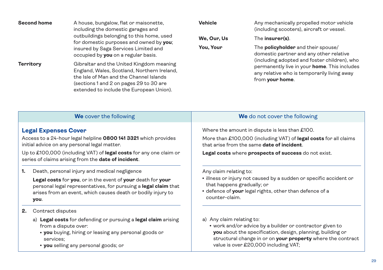| <b>Second home</b><br><b>Territory</b> | A house, bungalow, flat or maisonette,<br>including the domestic garages and<br>outbuildings belonging to this home, used<br>for domestic purposes and owned by you;<br>insured by Saga Services Limited and<br>occupied by you on a regular basis.<br>Gibraltar and the United Kingdom meaning<br>England, Wales, Scotland, Northern Ireland,<br>the Isle of Man and the Channel Islands<br>(sections 1 and 2 on pages 29 to 30 are<br>extended to include the European Union). | <b>Vehicle</b><br>We, Our, Us<br>You, Your | Any mechanically propelled motor vehicle<br>(including scooters), aircraft or vessel.<br>The insurer(s).<br>The <b>policyholder</b> and their spouse/<br>domestic partner and any other relative<br>(including adopted and foster children), who<br>permanently live in your home. This includes<br>any relative who is temporarily living away<br>from your home. |
|----------------------------------------|----------------------------------------------------------------------------------------------------------------------------------------------------------------------------------------------------------------------------------------------------------------------------------------------------------------------------------------------------------------------------------------------------------------------------------------------------------------------------------|--------------------------------------------|--------------------------------------------------------------------------------------------------------------------------------------------------------------------------------------------------------------------------------------------------------------------------------------------------------------------------------------------------------------------|
|                                        | We cover the following                                                                                                                                                                                                                                                                                                                                                                                                                                                           |                                            | We do not cover the following                                                                                                                                                                                                                                                                                                                                      |
| <b>Legal Expenses Cover</b>            | Access to a 24-hour legal helpline 0800 141 3321 which provides<br>initial advice on any personal legal matter.<br>Up to £100,000 (including VAT) of legal costs for any one claim or<br>series of claims arising from the date of incident.                                                                                                                                                                                                                                     |                                            | Where the amount in dispute is less than £100.<br>More than £100,000 (including VAT) of legal costs for all claims<br>that arise from the same <b>date of incident</b> .<br>Legal costs where prospects of success do not exist.                                                                                                                                   |

**1.** Death, personal injury and medical negligence

 **Legal costs** for **you**, or in the event of **your** death for **your** personal legal representatives, for pursuing a **legal claim** that arises from an event, which causes death or bodily injury to **you**.

- **2.** Contract disputes
	- a) **Legal costs** for defending or pursuing a **legal claim** arising from a dispute over:
		- **vou** buying, hiring or leasing any personal goods or services;
		- **you** selling any personal goods; or

Any claim relating to:

- $\cdot$  illness or injury not caused by a sudden or specific accident or that happens gradually; or
- defence of **your** legal rights, other than defence of a counter-claim.
- a) Any claim relating to:
	- work and/or advice by a builder or contractor given to **you** about the specification, design, planning, building or structural change in or on **your property** where the contract value is over £20,000 including VAT;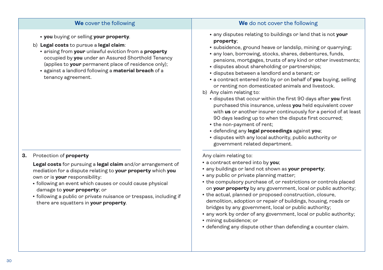### **We** cover the following **We** do not cover the following

- **vou** buying or selling **your property**.
- b) **Legal costs** to pursue a **legal claim**:
	- <sup>l</sup> arising from **your** unlawful eviction from a **property** occupied by **you** under an Assured Shorthold Tenancy (applies to **your** permanent place of residence only);
	- <sup>l</sup> against a landlord following a **material breach** of a tenancy agreement.

### **3.** Protection of **property**

 **Legal costs** for pursuing a **legal claim** and/or arrangement of mediation for a dispute relating to **your property** which **you** own or is **your** responsibility:

- following an event which causes or could cause physical damage to **your property**; or
- following a public or private nuisance or trespass, including if there are squatters in **your property**.

- <sup>l</sup> any disputes relating to buildings or land that is not **your property**;
- subsidence, ground heave or landslip, mining or quarrying;
- any loan, borrowing, stocks, shares, debentures, funds, pensions, mortgages, trusts of any kind or other investments;
- disputes about shareholding or partnerships;
- disputes between a landlord and a tenant; or
- **a contract entered into by or on behalf of you buying, selling** or renting non domesticated animals and livestock.
- b) Any claim relating to:
	- $\cdot$  disputes that occur within the first 90 days after you first purchased this insurance, unless **you** held equivalent cover with **us** or another insurer continuously for a period of at least 90 days leading up to when the dispute first occurred;
	- the non-payment of rent:
	- <sup>l</sup> defending any **legal proceedings** against **you**;
	- disputes with any local authority, public authority or government related department.

Any claim relating to:

- **•** a contract entered into by you;
- any buildings or land not shown as **your property**;
- any public or private planning matter;
- the compulsory purchase of, or restrictions or controls placed on **your property** by any government, local or public authority;
- the actual, planned or proposed construction, closure, demolition, adoption or repair of buildings, housing, roads or bridges by any government, local or public authority;
- any work by order of any government, local or public authority;
- mining subsidence; or
- defending any dispute other than defending a counter claim.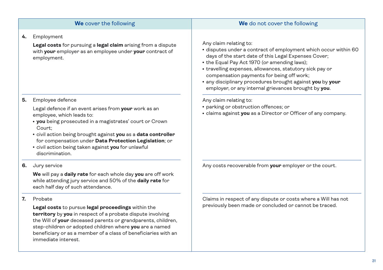| We cover the following                                                                                                                                                                                                                                                                                                                                                                 | We do not cover the following                                                                                                                                                                                                                                                                                                                                                                                                   |
|----------------------------------------------------------------------------------------------------------------------------------------------------------------------------------------------------------------------------------------------------------------------------------------------------------------------------------------------------------------------------------------|---------------------------------------------------------------------------------------------------------------------------------------------------------------------------------------------------------------------------------------------------------------------------------------------------------------------------------------------------------------------------------------------------------------------------------|
| Employment<br>4.<br>Legal costs for pursuing a legal claim arising from a dispute<br>with your employer as an employee under your contract of<br>employment.                                                                                                                                                                                                                           | Any claim relating to:<br>· disputes under a contract of employment which occur within 60<br>days of the start date of this Legal Expenses Cover;<br>• the Equal Pay Act 1970 (or amending laws);<br>• travelling expenses, allowances, statutory sick pay or<br>compensation payments for being off work;<br>. any disciplinary procedures brought against you by your<br>employer, or any internal grievances brought by you. |
| Employee defence<br>5.<br>Legal defence if an event arises from your work as an<br>employee, which leads to:<br>• you being prosecuted in a magistrates' court or Crown<br>Court:<br>. civil action being brought against you as a data controller<br>for compensation under Data Protection Legislation; or<br>• civil action being taken against you for unlawful<br>discrimination. | Any claim relating to:<br>• parking or obstruction offences; or<br>• claims against you as a Director or Officer of any company.                                                                                                                                                                                                                                                                                                |
| Jury service<br>6.                                                                                                                                                                                                                                                                                                                                                                     | Any costs recoverable from your employer or the court.                                                                                                                                                                                                                                                                                                                                                                          |

 **We** will pay a **daily rate** for each whole day **you** are off work while attending jury service and 50% of the **daily rate** for each half day of such attendance.

### **7.** Probate

 **Legal costs** to pursue **legal proceedings** within the **territory** by **you** in respect of a probate dispute involving the Will of **your** deceased parents or grandparents, children, step-children or adopted children where **you** are a named beneficiary or as a member of a class of beneficiaries with an immediate interest.

Claims in respect of any dispute or costs where a Will has not previously been made or concluded or cannot be traced.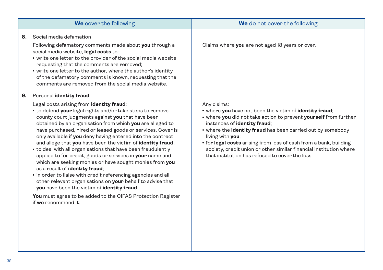# as a result of **identity fraud**;

other relevant organisations on **your** behalf to advise that **you** have been the victim of **identity fraud**.

 **You** must agree to be added to the CIFAS Protection Register

### Claims where **you** are not aged 18 years or over.

Any claims:

- **where you** have not been the victim of *identity* fraud;
- **where you** did not take action to prevent yourself from further instances of **identity fraud**;
- where the *identity* fraud has been carried out by somebody living with **you**;
- **for legal costs** arising from loss of cash from a bank, building society, credit union or other similar financial institution where that institution has refused to cover the loss.

**8.** Social media defamation

 Following defamatory comments made about **you** through a social media website, **legal costs** to:

- write one letter to the provider of the social media website requesting that the comments are removed;
- write one letter to the author, where the author's identity of the defamatory comments is known, requesting that the comments are removed from the social media website.

### **9.** Personal **identity fraud**

### Legal costs arising from **identity fraud**:

- to defend **your** legal rights and/or take steps to remove county court judgments against **you** that have been obtained by an organisation from which **you** are alleged to have purchased, hired or leased goods or services. Cover is only available if **you** deny having entered into the contract and allege that **you** have been the victim of **identity fraud**;
- to deal with all organisations that have been fraudulently applied to for credit, goods or services in **your** name and which are seeking monies or have sought monies from **you**
- $\cdot$  in order to liaise with credit referencing agencies and all

if **we** recommend it.

### **We** cover the following **We** do not cover the following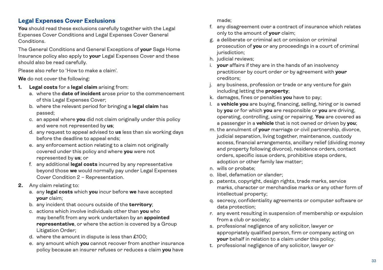### **Legal Expenses Cover Exclusions**

**You** should read these exclusions carefully together with the Legal Expenses Cover Conditions and Legal Expenses Cover General **Conditions** 

The General Conditions and General Exceptions of **your** Saga Home Insurance policy also apply to **your** Legal Expenses Cover and these should also be read carefully.

Please also refer to 'How to make a claim'.

**We** do not cover the following:

- **1. Legal costs** for a **legal claim** arising from:
	- a. where the **date of incident** arose prior to the commencement of this Legal Expenses Cover;
	- b. where the relevant period for bringing a **legal claim** has passed;
	- c. an appeal where **you** did not claim originally under this policy and were not represented by **us**;
	- d. any request to appeal advised to **us** less than six working days before the deadline to appeal ends;
	- e. any enforcement action relating to a claim not originally covered under this policy and where **you** were not represented by **us**; or
	- f. any additional **legal costs** incurred by any representative beyond those **we** would normally pay under Legal Expenses Cover Condition 2 – Representation.
- **2.** Any claim relating to:
	- a. any **legal costs** which **you** incur before **we** have accepted **your** claim;
	- b. any incident that occurs outside of the **territory**;
	- c. actions which involve individuals other than **you** who may benefit from any work undertaken by an **appointed representative**, or where the action is covered by a Group Litigation Order;
	- d. where the amount in dispute is less than £100;
	- e. any amount which **you** cannot recover from another insurance policy because an insurer refuses or reduces a claim **you** have

made;

- f. any disagreement over a contract of insurance which relates only to the amount of **your** claim;
- g. a deliberate or criminal act or omission or criminal prosecution of **you** or any proceedings in a court of criminal jurisdiction:
- h. judicial reviews;
- i. **your** affairs if they are in the hands of an insolvency practitioner by court order or by agreement with **your** creditors;
- j. any business, profession or trade or any venture for gain including letting the **property**;
- k. damages, fines or penalties **you** have to pay;
- l. a **vehicle you** are buying, financing, selling, hiring or is owned by **you** or for which **you** are responsible or **you** are driving, operating, controlling, using or repairing. **You** are covered as a passenger in a **vehicle** that is not owned or driven by **you**;
- m. the annulment of **your** marriage or civil partnership, divorce, judicial separation, living together, maintenance, custody access, financial arrangements, ancillary relief (dividing money and property following divorce), residence orders, contact orders, specific issue orders, prohibitive steps orders, adoption or other family law matter;
- n. wills or probate;
- o. libel, defamation or slander;
- p. patents, copyright, design rights, trade marks, service marks, character or merchandise marks or any other form of intellectual property;
- q. secrecy, confidentiality agreements or computer software or data protection;
- r. any event resulting in suspension of membership or expulsion from a club or society;
- s. professional negligence of any solicitor, lawyer or appropriately qualified person, firm or company acting on **your** behalf in relation to a claim under this policy;
- t. professional negligence of any solicitor, lawyer or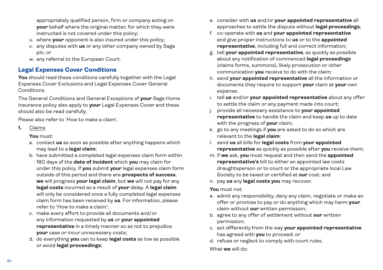appropriately qualified person, firm or company acting on **your** behalf where the original matter, for which they were instructed is not covered under this policy;

- u. where **your** opponent is also insured under this policy;
- v. any disputes with **us** or any other company owned by Saga plc; or
- w. any referral to the European Court.

### **Legal Expenses Cover Conditions**

**You** should read these conditions carefully together with the Legal Expenses Cover Exclusions and Legal Expenses Cover General Conditions.

The General Conditions and General Exceptions of **your** Saga Home Insurance policy also apply to **your** Legal Expenses Cover and these should also be read carefully.

Please also refer to 'How to make a claim'.

**1.** Claims

**You** must:

- a. contact **us** as soon as possible after anything happens which may lead to a **legal claim**;
- b. have submitted a completed legal expenses claim form within 180 days of the **date of incident** which **you** may claim for under this policy. If **you** submit **your** legal expenses claim form outside of this period and there are **prospects of success**, **we** will progress **your legal claim**, but **we** will not pay for any **legal costs** incurred as a result of **your** delay. A **legal claim** will only be considered once a fully completed legal expenses claim form has been received by **us**. For information, please refer to 'How to make a claim';
- c. make every effort to provide all documents and/or any information requested by **us** or **your appointed representative** in a timely manner so as not to prejudice **your** case or incur unnecessary costs;
- d. do everything **you** can to keep **legal costs** as low as possible or avoid **legal proceedings**;
- e. consider with **us** and/or **your appointed representative** all approaches to settle the dispute without **legal proceedings**;
- f. co-operate with **us** and **your appointed representative** and give proper instructions to **us** or to the **appointed representative**, including full and correct information;
- g. tell **your appointed representative**, as quickly as possible about any notification of commenced **legal proceedings**  (claims forms, summons), likely prosecution or other communication **you** receive to do with the claim;
- h. send **your appointed representative** all the information or documents they require to support **your** claim at **your** own expense;
- i. tell **us** and/or **your appointed representative** about any offer to settle the claim or any payment made into court;
- j. provide all necessary assistance to **your appointed representative** to handle the claim and keep **us** up to date with the progress of **your** claim;
- k. go to any meetings if **you** are asked to do so which are relevant to the **legal claim**;
- l. send **us** all bills for **legal costs** from **your appointed representative** as quickly as possible after **you** receive them;
- m. if **we** ask, **you** must request and then send the **appointed representative's** bill to either an appointed law costs draughtsperson or to court or the appropriate local Law Society to be taxed or certified at **our** cost; and
- n. pay **us** any **legal costs you** may recover.

### **You** must not:

- a. admit any responsibility, deny any claim, negotiate or make an offer or promise to pay or do anything which may harm **your** claim without **our** written permission;
- b. agree to any offer of settlement without **our** written permission;
- c. act differently from the way **your appointed representative** has agreed with **you** to proceed; or
- d. refuse or neglect to comply with court rules.

What **we** will do: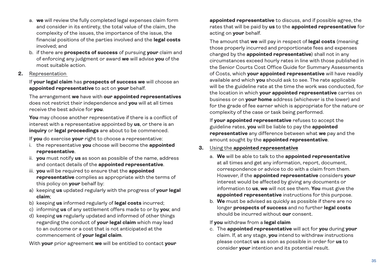- a. **we** will review the fully completed legal expenses claim form and consider in its entirety, the total value of the claim, the complexity of the issues, the importance of the issue, the financial positions of the parties involved and the **legal costs** involved; and
- b. if there are **prospects of success** of pursuing **your** claim and of enforcing any judgment or award **we** will advise **you** of the most suitable action.

### **2.** Representation

 If **your legal claim** has **prospects of success we** will choose an **appointed representative** to act on **your** behalf.

 The arrangement **we** have with **our appointed representatives** does not restrict their independence and **you** will at all times receive the best advice for **you**.

 **You** may choose another representative if there is a conflict of interest with a representative appointed by **us**, or there is an **inquiry** or **legal proceedings** are about to be commenced.

If **you** do exercise **your** right to choose a representative:

- i. the representative **you** choose will become the **appointed representative**.
- ii. **you** must notify **us** as soon as possible of the name, address and contact details of the **appointed representative**.
- iii. **you** will be required to ensure that the **appointed representative** complies as appropriate with the terms of this policy on **your** behalf by:
- a) keeping **us** updated regularly with the progress of **your legal claim**;
- b) keeping **us** informed regularly of **legal costs** incurred;
- c) informing **us** of any settlement offers made to or by **you**; and
- d) keeping **us** regularly updated and informed of other things regarding the conduct of **your legal claim** which may lead to an outcome or a cost that is not anticipated at the commencement of **your legal claim**.

With **your** prior agreement **we** will be entitled to contact **your**

**appointed representative** to discuss, and if possible agree, the rates that will be paid by **us** to the **appointed representative** for acting on **your** behalf.

 The amount that **we** will pay in respect of **legal costs** (meaning those properly incurred and proportionate fees and expenses charged by the **appointed representative**) shall not in any circumstances exceed hourly rates in line with those published in the Senior Courts Cost Office Guide for Summary Assessments of Costs, which **your appointed representative** will have readily available and which **you** should ask to see. The rate applicable will be the guideline rate at the time the work was conducted, for the location in which **your appointed representative** carries on business or on **your home** address (whichever is the lower) and for the grade of fee earner which is appropriate for the nature or complexity of the case or task being performed.

 If **your appointed representative** refuses to accept the guideline rates, **you** will be liable to pay the **appointed representative** any difference between what **we** pay and the amount sought by the **appointed representative**.

### **3.** Using the **appointed representative**

- a. **We** will be able to talk to the **appointed representative** at all times and get any information, report, document, correspondence or advice to do with a claim from them. However, if the **appointed representative** considers **your** interest would be affected by giving any documents or information to **us**, **we** will not see them. **You** must give the **appointed representative** instructions for this purpose.
- b. **We** must be advised as quickly as possible if there are no longer **prospects of success** and no further **legal costs** should be incurred without **our** consent.

### If **you** withdraw from a **legal claim**

 c. The **appointed representative** will act for **you** during **your** claim. If, at any stage, **you** intend to withdraw instructions please contact **us** as soon as possible in order for **us** to consider **your** intention and its potential result.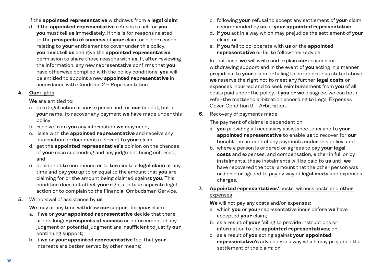- If the **appointed representative** withdraws from a **legal claim**
- d. If the **appointed representative** refuses to act for **you**, **you** must tell **us** immediately. If this is for reasons related to the **prospects of success** of **your** claim or other reason relating to **your** entitlement to cover under this policy, **you** must tell **us** and give the **appointed representative** permission to share those reasons with **us**. If, after reviewing the information, any new representative confirms that **you** have otherwise complied with the policy conditions, **you** will be entitled to appoint a new **appointed representative** in accordance with Condition 2 – Representation.

### **4. Our** rights

 **We** are entitled to:

- a. take legal action at **our** expense and for **our** benefit, but in **your** name, to recover any payment **we** have made under this policy;
- b. receive from **you** any information **we** may need;
- c. liaise with the **appointed representative** and receive any information or documents relevant to **your** claim;
- d. get the **appointed representative's** opinion on the chances of **your** case succeeding and any judgment being enforced; and
- e. decide not to commence or to terminate a **legal claim** at any time and pay **you** up to or equal to the amount that **you** are claiming for or the amount being claimed against **you**. This condition does not affect **your** rights to take separate legal action or to complain to the Financial Ombudsman Service.
- **5.** Withdrawal of assistance by **us**

 **We** may at any time withdraw **our** support for **your** claim:

- a. if **we** or **your appointed representative** decide that there are no longer **prospects of success** or enforcement of any judgment or potential judgment are insufficient to justify **our** continuing support;
- b. if **we** or **your appointed representative** feel that **your** interests are better served by other means;
- c. following **your** refusal to accept any settlement of **your** claim recommended by **us** or **your appointed representative**;
- d. if **you** act in a way which may prejudice the settlement of **your** claim; or
- e. if **you** fail to co-operate with **us** or the **appointed representative** or fail to follow their advice.

 In that case, **we** will write and explain **our** reasons for withdrawing support and in the event of **you** acting in a manner prejudicial to **your** claim or failing to co-operate as stated above, **we** reserve the right not to meet any further **legal costs** or expenses incurred and to seek reimbursement from **you** of all costs paid under the policy. If **you** or **we** disagree, we can both refer the matter to arbitration according to Legal Expenses Cover Condition 9 – Arbitration.

**6.** Recovery of payments made

The payment of claims is dependent on:

- a. **you** providing all necessary assistance to **us** and to **your appointed representative** to enable **us** to recover for **our** benefit the amount of any payments under this policy; and
- b. where a person is ordered or agrees to pay **your legal costs** and expenses, and compensation, either in full or by instalments, these instalments will be paid to **us** until **we** have recovered the total amount that the other person was ordered or agreed to pay by way of **legal costs** and expenses charges.

### **7. Appointed representatives'** costs, witness costs and other expenses

**We** will not pay any costs and/or expenses:

- a. which **you** or **your** representative incur before **we** have accepted **your** claim;
- b. as a result of **your** failing to provide instructions or information to the **appointed representatives**; or
- c. as a result of **you** acting against **your appointed representative's** advice or in a way which may prejudice the settlement of the claim; or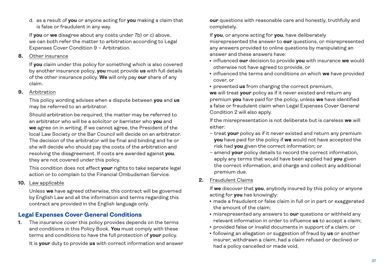d. as a result of **you** or anyone acting for **you** making a claim that is false or fraudulent in any way.

 If **you** or **we** disagree about any costs under 7b) or c) above, we can both refer the matter to arbitration according to Legal Expenses Cover Condition 9 – Arbitration.

**8.** Other insurance

 If **you** claim under this policy for something which is also covered by another insurance policy, **you** must provide **us** with full details of the other insurance policy. **We** will only pay **our** share of any claim.

**9.** Arbitration

 This policy wording advises when a dispute between **you** and **us** may be referred to an arbitrator.

 Should arbitration be required, the matter may be referred to an arbitrator who will be a solicitor or barrister who **you** and **we** agree on in writing. If we cannot agree, the President of the local Law Society or the Bar Council will decide on an arbitrator. The decision of the arbitrator will be final and binding and he or she will decide who should pay the costs of the arbitration and resolving the disagreement. If costs are awarded against **you**, they are not covered under this policy.

 This condition does not affect **your** rights to take separate legal action or to complain to the Financial Ombudsman Service.

**10.** Law applicable

 Unless **we** have agreed otherwise, this contract will be governed by English Law and all the information and terms regarding this contract are provided in the English language only.

### **Legal Expenses Cover General Conditions**

**1.** The insurance cover this policy provides depends on the terms and conditions in this Policy Book. **You** must comply with these terms and conditions to have the full protection of **your** policy.

It is **your** duty to provide **us** with correct information and answer

**our** questions with reasonable care and honestly, truthfully and completely.

If **you**, or anyone acting for **you**, have deliberately

misrepresented the answer to **our** questions, or misrepresented any answers provided to online questions by manipulating an answer and these answers have:

- <sup>l</sup> influenced **our** decision to provide **you** with insurance **we** would otherwise not have agreed to provide, or
- <sup>l</sup> influenced the terms and conditions on which **we** have provided cover, or
- prevented **us** from charging the correct premium,

 **we** will treat **your** policy as if it never existed and return any premium **you** have paid for the policy, unless **we** have identified a false or fraudulent claim when Legal Expenses Cover General Condition 2 will also apply.

 If the misrepresentation is not deliberate but is careless **we** will either:

- treat **your** policy as if it never existed and return any premium **you** have paid for the policy if **we** would not have accepted the risk had **you** given the correct information; or
- amend **your** policy details to record the correct information, apply any terms that would have been applied had **you** given the correct information, and charge and collect any additional premium due.
- **2.** Fraudulent Claims

 If **we** discover that **you**, anybody insured by this policy or anyone acting for **you** has knowingly:

- made a fraudulent or false claim in full or in part or exaggerated the amount of the claim;
- **misrepresented any answers to our questions or withheld any** relevant information in order to influence **us** to accept a claim;
- provided false or invalid documents in support of a claim; or
- **following an allegation or suggestion of fraud by us or another** insurer, withdrawn a claim, had a claim refused or declined or had a policy cancelled or made void,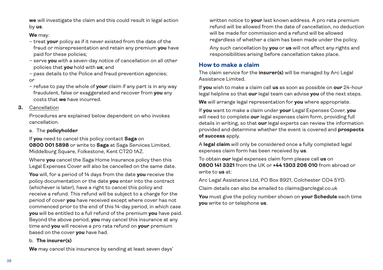**we** will investigate the claim and this could result in legal action by **us**.

### **We** may:

- treat **your** policy as if it never existed from the date of the fraud or misrepresentation and retain any premium **you** have paid for these policies;
- serve **you** with a seven-day notice of cancellation on all other policies that **you** hold with **us**; and
- pass details to the Police and fraud prevention agencies;

### or

 – refuse to pay the whole of **your** claim if any part is in any way fraudulent, false or exaggerated and recover from **you** any costs that **we** have incurred.

### **3.** Cancellation

 Procedures are explained below dependent on who invokes cancellation.

### a. The **policyholder**

 If **you** need to cancel this policy contact **Saga** on **0800 001 5898** or write to **Saga** at Saga Services Limited, Middelburg Square, Folkestone, Kent CT20 1AZ.

 Where **you** cancel the Saga Home Insurance policy then this Legal Expenses Cover will also be cancelled on the same date.

 **You** will, for a period of 14 days from the date **you** receive the policy documentation or the date **you** enter into the contract (whichever is later), have a right to cancel this policy and receive a refund. This refund will be subject to a charge for the period of cover **you** have received except where cover has not commenced prior to the end of this 14-day period, in which case **you** will be entitled to a full refund of the premium **you** have paid. Beyond the above period, **you** may cancel this insurance at any time and **you** will receive a pro rata refund on **your** premium based on the cover **you** have had.

### b. **The insurer(s)**

 **We** may cancel this insurance by sending at least seven days'

written notice to **your** last known address. A pro rata premium refund will be allowed from the date of cancellation, no deduction will be made for commission and a refund will be allowed regardless of whether a claim has been made under the policy.

 Any such cancellation by **you** or **us** will not affect any rights and responsibilities arising before cancellation takes place.

### **How to make a claim**

The claim service for the **insurer(s)** will be managed by Arc Legal Assistance Limited.

If **you** wish to make a claim call **us** as soon as possible on **our** 24-hour legal helpline so that **our** legal team can advise **you** of the next steps.

**We** will arrange legal representation for **you** where appropriate.

If **you** want to make a claim under **your** Legal Expenses Cover, **you** will need to complete **our** legal expenses claim form, providing full details in writing, so that **our** legal experts can review the information provided and determine whether the event is covered and **prospects of success** apply.

A **legal claim** will only be considered once a fully completed legal expenses claim form has been received by **us**.

To obtain **our** legal expenses claim form please call **us** on **0800 141 3321** from the UK or **+44 1303 206 010** from abroad or write to **us** at:

Arc Legal Assistance Ltd, PO Box 8921, Colchester CO4 5YD.

Claim details can also be emailed to claims@arclegal.co.uk

**You** must give the policy number shown on **your Schedule** each time **you** write to or telephone **us**.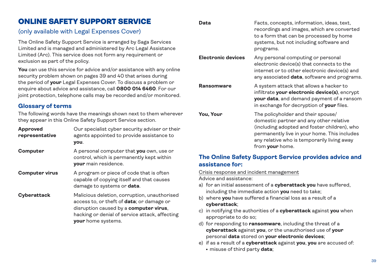### ONLINE SAFETY SUPPORT SERVICE

### (only available with Legal Expenses Cover)

The Online Safety Support Service is arranged by Saga Services Limited and is managed and administered by Arc Legal Assistance Limited (Arc). This service does not form any requirement or exclusion as part of the policy.

**You** can use this service for advice and/or assistance with any online security problem shown on pages 39 and 40 that arises during the period of **your** Legal Expenses Cover. To discuss a problem or enquire about advice and assistance, call **0800 014 6460**. For our joint protection, telephone calls may be recorded and/or monitored.

### **Glossary of terms**

The following words have the meanings shown next to them wherever they appear in this Online Safety Support Service section.

| <b>Approved</b><br>representative | Our specialist cyber security adviser or their<br>agents appointed to provide assistance to<br>you.                                                                                                                         |
|-----------------------------------|-----------------------------------------------------------------------------------------------------------------------------------------------------------------------------------------------------------------------------|
| Computer                          | A personal computer that you own, use or<br>control, which is permanently kept within<br><b>vour</b> main residence.                                                                                                        |
| <b>Computer virus</b>             | A program or piece of code that is often<br>capable of copying itself and that causes<br>damage to systems or <b>data</b> .                                                                                                 |
| Cyberattack                       | Malicious deletion, corruption, unauthorised<br>access to, or theft of <b>data</b> ; or damage or<br>disruption caused by a <b>computer virus</b> ,<br>hacking or denial of service attack, affecting<br>your home systems. |

| Data | Facts, concepts, information, ideas, text, |
|------|--------------------------------------------|
|      | recordings and images, which are converted |
|      | to a form that can be processed by home    |
|      | systems, but not including software and    |
|      | programs.                                  |

**Electronic devices** Any personal computing or personal electronic device(s) that connects to the internet or to other electronic device(s) and any associated **data**, software and programs.

**Ransomware** A system attack that allows a hacker to infiltrate **your electronic device(s)**, encrypt **your data**, and demand payment of a ransom in exchange for decryption of **your** files.

**You, Your** The policyholder and their spouse/ domestic partner and any other relative (including adopted and foster children), who permanently live in your home. This includes any relative who is temporarily living away from **your** home.

### **The Online Safety Support Service provides advice and assistance for:**

Crisis response and incident management

Advice and assistance:

- a) for an initial assessment of a **cyberattack you** have suffered, including the immediate action **you** need to take;
- b) where **you** have suffered a financial loss as a result of a **cyberattack**;
- c) in notifying the authorities of a **cyberattack** against **you** when appropriate to do so;
- d) for responding to **ransomware**, including the threat of a **cyberattack** against **you**, or the unauthorised use of **your** personal **data** stored on **your electronic devices**;
- e) if as a result of a **cyberattack** against **you**, **you** are accused of:
	- **misuse of third party data;**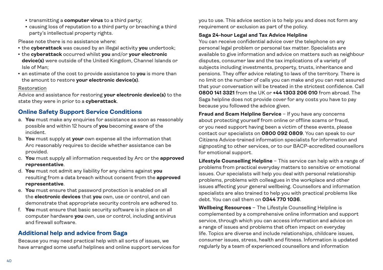- transmitting a **computer virus** to a third party;
- causing loss of reputation to a third party or breaching a third party's intellectual property rights.

Please note there is no assistance where:

- the **cyberattack** was caused by an illegal activity **vou** undertook:
- <sup>l</sup> the **cyberattack** occurred whilst **you** and/or **your electronic device(s)** were outside of the United Kingdom, Channel Islands or Isle of Man;
- **an estimate of the cost to provide assistance to <b>you** is more than the amount to restore **your electronic device(s)**.

### Restoration

Advice and assistance for restoring **your electronic device(s)** to the state they were in prior to a **cyberattack**.

### **Online Safety Support Service Conditions**

- a. **You** must make any enquiries for assistance as soon as reasonably possible and within 12 hours of **you** becoming aware of the incident.
- b. **You** must supply at **your** own expense all the information that Arc reasonably requires to decide whether assistance can be provided.
- c. **You** must supply all information requested by Arc or the **approved representative**.
- d. **You** must not admit any liability for any claims against **you** resulting from a data breach without consent from the **approved representative**.
- e. **You** must ensure that password protection is enabled on all the **electronic devices** that **you** own, use or control, and can demonstrate that appropriate security controls are adhered to.
- f. **You** must ensure that basic security software is in place on all computer hardware **you** own, use or control, including antivirus and firewall software.

### **Additional help and advice from Saga**

Because you may need practical help with all sorts of issues, we have arranged some useful helplines and online support services for you to use. This advice section is to help you and does not form any requirement or exclusion as part of the policy.

### **Saga 24-hour Legal and Tax Advice Helpline**

You can receive confidential advice over the telephone on any personal legal problem or personal tax matter. Specialists are available to give information and advice on matters such as neighbour disputes, consumer law and the tax implications of a variety of subjects including investments, property, trusts, inheritance and pensions. They offer advice relating to laws of the territory. There is no limit on the number of calls you can make and you can rest assured that your conversation will be treated in the strictest confidence. Call **0800 141 3321** from the UK or **+44 1303 206 010** from abroad. The Saga helpline does not provide cover for any costs you have to pay because you followed the advice given.

**Fraud and Scam Helpline Service** – If you have any concerns about protecting yourself from online or offline scams or fraud, or you need support having been a victim of these events, please contact our specialists on **0800 092 0809**. You can speak to our Citizens Advice-trained information specialists for information and signposting to other services, or to our BACP-accredited counsellors for emotional support.

**Lifestyle Counselling Helpline** – This service can help with a range of problems from practical everyday matters to sensitive or emotional issues. Our specialists will help you deal with personal relationship problems, problems with colleagues in the workplace and other issues affecting your general wellbeing. Counsellors and information specialists are also trained to help you with practical problems like debt. You can call them on **0344 770 1036**.

**Wellbeing Resources** – The Lifestyle Counselling Helpline is complemented by a comprehensive online information and support service, through which you can access information and advice on a range of issues and problems that often impact on everyday life. Topics are diverse and include relationships, childcare issues, consumer issues, stress, health and fitness. Information is updated regularly by a team of experienced counsellors and information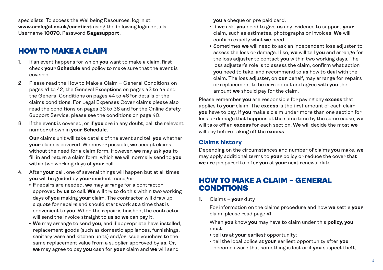specialists. To access the Wellbeing Resources, log in at **www.arclegal.co.uk/carefirst** using the following login details: Username **10070**, Password **Sagasupport**.

## HOW TO MAKE A CLAIM

- 1. If an event happens for which **you** want to make a claim, first check **your Schedule** and policy to make sure that the event is covered.
- 2. Please read the How to Make a Claim General Conditions on pages 41 to 42, the General Exceptions on pages 43 to 44 and the General Conditions on pages 44 to 46 for details of the claims conditions. For Legal Expenses Cover claims please also read the conditions on pages 33 to 38 and for the Online Safety Support Service, please see the conditions on page 40.
- 3. If the event is covered, or if **you** are in any doubt, call the relevant number shown in **your Schedule**.

 **Our** claims unit will take details of the event and tell **you** whether **your** claim is covered. Whenever possible, **we** accept claims without the need for a claim form. However, **we** may ask **you** to fill in and return a claim form, which **we** will normally send to **you** within two working days of **your** call.

- 4. After **your** call, one of several things will happen but at all times **you** will be guided by **your** incident manager.
	- **.** If repairs are needed, we may arrange for a contractor approved by **us** to call. **We** will try to do this within two working days of **you** making **your** claim. The contractor will draw up a quote for repairs and should start work at a time that is convenient to **you**. When the repair is finished, the contractor will send the invoice straight to **us** so **we** can pay it.
	- **We** may arrange to send you, and if appropriate have installed, replacement goods (such as domestic appliances, furnishings, sanitary ware and kitchen units) and/or issue vouchers to the same replacement value from a supplier approved by **us**. Or, **we** may agree to pay **you** cash for **your** claim and **we** will send

**you** a cheque or pre paid card.

- <sup>l</sup> If **we** ask, **you** need to give **us** any evidence to support **your** claim, such as estimates, photographs or invoices. **We** will confirm exactly what **we** need.
- **.** Sometimes we will need to ask an independent loss adjuster to assess the loss or damage. If so, **we** will tell **you** and arrange for the loss adjuster to contact **you** within two working days. The loss adjuster's role is to assess the claim, confirm what action **you** need to take, and recommend to **us** how to deal with the claim. The loss adjuster, on **our** behalf, may arrange for repairs or replacement to be carried out and agree with **you** the amount **we** should pay for the claim.

Please remember **you** are responsible for paying any **excess** that applies to **your** claim. The **excess** is the first amount of each claim **you** have to pay. If **you** make a claim under more than one section for loss or damage that happens at the same time by the same cause, **we** will take off an **excess** for each section. **We** will decide the most **we** will pay before taking off the **excess**.

### **Claims history**

Depending on the circumstances and number of claims **you** make, **we** may apply additional terms to **your** policy or reduce the cover that **we** are prepared to offer **you** at **your** next renewal date.

### HOW TO MAKE A CLAIM – GENERAL CONDITIONS

**1.** Claims – **your** duty

 For information on the claims procedure and how **we** settle **your** claim, please read page 41.

 When **you** know **you** may have to claim under this **policy**, **you** must:

- tell us at your earliest opportunity;
- $\cdot$  tell the local police at **your** earliest opportunity after you become aware that something is lost or if **you** suspect theft,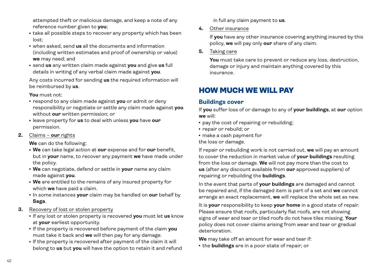attempted theft or malicious damage, and keep a note of any reference number given to **you**;

- take all possible steps to recover any property which has been lost;
- when asked, send us all the documents and information (including written estimates and proof of ownership or value) **we** may need; and
- **send us** any written claim made against you and give us full details in writing of any verbal claim made against **you**.

Any costs incurred for sending **us** the required information will be reimbursed by **us**.

 **You** must not:

- **respond to any claim made against you** or admit or deny responsibility or negotiate or settle any claim made against **you** without **our** written permission; or
- $\cdot$  leave property for us to deal with unless you have our permission.
- **2.** Claims **our** rights

 **We** can do the following:

- <sup>l</sup> **We** can take legal action at **our** expense and for **our** benefit, but in **your** name, to recover any payment **we** have made under the policy.
- **· We** can negotiate, defend or settle in your name any claim made against **you**.
- **· We** are entitled to the remains of any insured property for which **we** have paid a claim.
- In some instances your claim may be handled on our behalf by **Saga**.
- **3.** Recovery of lost or stolen property
	- <sup>l</sup> If any lost or stolen property is recovered **you** must let **us** know at **your** earliest opportunity.
	- $\cdot$  If the property is recovered before payment of the claim you must take it back and **we** will then pay for any damage.
	- If the property is recovered after payment of the claim it will belong to **us** but **you** will have the option to retain it and refund

in full any claim payment to **us**.

**4.** Other insurance

 If **you** have any other insurance covering anything insured by this policy, **we** will pay only **our** share of any claim.

**5.** Taking care

 **You** must take care to prevent or reduce any loss, destruction, damage or injury and maintain anything covered by this insurance.

# HOW MUCH WE WILL PAY

### **Buildings cover**

If **you** suffer loss of or damage to any of **your buildings**, at **our** option **we** will:

- pay the cost of repairing or rebuilding;
- repair or rebuild; or
- make a cash payment for

the loss or damage.

If repair or rebuilding work is not carried out, **we** will pay an amount to cover the reduction in market value of **your buildings** resulting from the loss or damage. **We** will not pay more than the cost to **us** (after any discount available from **our** approved suppliers) of repairing or rebuilding the **buildings**.

In the event that parts of **your buildings** are damaged and cannot be repaired and, if the damaged item is part of a set and **we** cannot arrange an exact replacement, **we** will replace the whole set as new.

It is **your** responsibility to keep **your home** in a good state of repair. Please ensure that roofs, particularly flat roofs, are not showing signs of wear and tear or tiled roofs do not have tiles missing. **Your** policy does not cover claims arising from wear and tear or gradual deterioration.

**We** may take off an amount for wear and tear if:

**• the buildings** are in a poor state of repair; or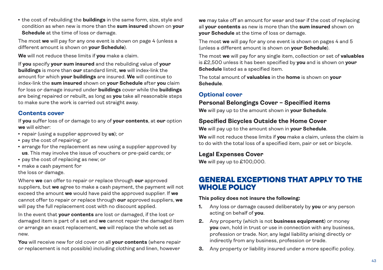• the cost of rebuilding the **buildings** in the same form, size, style and condition as when new is more than the **sum insured** shown on **your Schedule** at the time of loss or damage.

The most **we** will pay for any one event is shown on page 4 (unless a different amount is shown on **your Schedule**).

**We** will not reduce these limits if **you** make a claim.

If **you** specify **your sum insured** and the rebuilding value of **your buildings** is more than **our** standard limit, **we** will index-link the amount for which **your buildings** are insured. **We** will continue to index-link the **sum insured** shown on **your Schedule** after **you** claim for loss or damage insured under **buildings** cover while the **buildings** are being repaired or rebuilt, as long as **you** take all reasonable steps to make sure the work is carried out straight away.

### **Contents cover**

If **you** suffer loss of or damage to any of **your contents**, at **our** option **we** will either:

- repair (using a supplier approved by **us**); or
- pay the cost of repairing; or
- arrange for the replacement as new using a supplier approved by **us**. This may involve the issue of vouchers or pre-paid cards; or
- pay the cost of replacing as new; or
- make a cash payment for

the loss or damage.

Where **we** can offer to repair or replace through **our** approved suppliers, but **we** agree to make a cash payment, the payment will not exceed the amount **we** would have paid the approved supplier. If **we** cannot offer to repair or replace through **our** approved suppliers, **we** will pay the full replacement cost with no discount applied.

In the event that **your contents** are lost or damaged, if the lost or damaged item is part of a set and **we** cannot repair the damaged item or arrange an exact replacement, **we** will replace the whole set as new.

**You** will receive new for old cover on all **your contents** (where repair or replacement is not possible) including clothing and linen, however

**we** may take off an amount for wear and tear if the cost of replacing all **your contents** as new is more than the **sum insured** shown on **your Schedule** at the time of loss or damage.

The most **we** will pay for any one event is shown on pages 4 and 5 (unless a different amount is shown on **your Schedule**).

The most **we** will pay for any single item, collection or set of **valuables** is £2,500 unless it has been specified by **you** and is shown on **your Schedule** listed as a specified item.

The total amount of **valuables** in the **home** is shown on **your Schedule**.

### **Optional cover**

### **Personal Belongings Cover – Specified items**

**We** will pay up to the amount shown in **your Schedule**.

### **Specified Bicycles Outside the Home Cover**

**We** will pay up to the amount shown in **your Schedule**.

**We** will not reduce these limits if **you** make a claim, unless the claim is to do with the total loss of a specified item, pair or set or bicycle.

### **Legal Expenses Cover**

**We** will pay up to £100,000.

### GENERAL EXCEPTIONS THAT APPLY TO THE WHOLE POLICY

### **This policy does not insure the following:**

- **1.** Any loss or damage caused deliberately by **you** or any person acting on behalf of **you**.
- **2.** Any property (which is not **business equipment**) or money **you** own, hold in trust or use in connection with any business, profession or trade. Nor, any legal liability arising directly or indirectly from any business, profession or trade.
- **3.** Any property or liability insured under a more specific policy.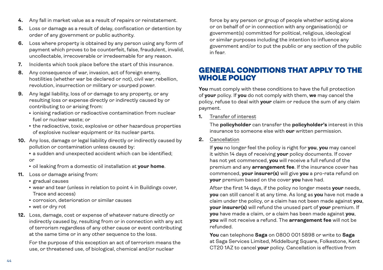- **4.** Any fall in market value as a result of repairs or reinstatement.
- **5.** Loss or damage as a result of delay, confiscation or detention by order of any government or public authority.
- **6.** Loss where property is obtained by any person using any form of payment which proves to be counterfeit, false, fraudulent, invalid, uncollectable, irrecoverable or irredeemable for any reason.
- **7.** Incidents which took place before the start of this insurance.
- **8.** Any consequence of war, invasion, act of foreign enemy, hostilities (whether war be declared or not), civil war, rebellion, revolution, insurrection or military or usurped power.
- **9.** Any legal liability, loss of or damage to any property, or any resulting loss or expense directly or indirectly caused by or contributing to or arising from:
	- $\cdot$  ionising radiation or radioactive contamination from nuclear fuel or nuclear waste; or
	- the radioactive, toxic, explosive or other hazardous properties of explosive nuclear equipment or its nuclear parts.
- **10.** Any loss, damage or legal liability directly or indirectly caused by pollution or contamination unless caused by:
	- a sudden and unexpected accident which can be identified: or
	- $\cdot$  oil leaking from a domestic oil installation at your home.
- **11.** Loss or damage arising from:
	- <sup>l</sup> gradual causes
	- wear and tear (unless in relation to point 4 in Buildings cover, Trace and access)
	- corrosion, deterioration or similar causes
	- wet or dry rot
- **12.** Loss, damage, cost or expense of whatever nature directly or indirectly caused by, resulting from or in connection with any act of terrorism regardless of any other cause or event contributing at the same time or in any other sequence to the loss.

 For the purpose of this exception an act of terrorism means the use, or threatened use, of biological, chemical and/or nuclear

force by any person or group of people whether acting alone or on behalf of or in connection with any organisation(s) or government(s) committed for political, religious, ideological or similar purposes including the intention to influence any government and/or to put the public or any section of the public in fear.

## GENERAL CONDITIONS THAT APPLY TO THE WHOLE POLICY

**You** must comply with these conditions to have the full protection of **your** policy. If **you** do not comply with them, **we** may cancel the policy, refuse to deal with **your** claim or reduce the sum of any claim payment.

**1.** Transfer of interest

 The **policyholder** can transfer the **policyholder's** interest in this insurance to someone else with **our** written permission.

**2.** Cancellation

 If **you** no longer feel the policy is right for **you**, **you** may cancel it within 14 days of receiving **your** policy documents. If cover has not yet commenced, **you** will receive a full refund of the premium and any **arrangement fee**. If the insurance cover has commenced, **your insurer(s)** will give **you** a pro-rata refund on **your** premium based on the cover **you** have had.

 After the first 14 days, if the policy no longer meets **your** needs, **you** can still cancel it at any time. As long as **you** have not made a claim under the policy, or a claim has not been made against **you**, **your insurer(s)** will refund the unused part of **your** premium. If **you** have made a claim, or a claim has been made against **you**, **you** will not receive a refund. The **arrangement fee** will not be refunded.

 **You** can telephone **Saga** on 0800 001 5898 or write to **Saga** at Saga Services Limited, Middelburg Square, Folkestone, Kent CT20 1AZ to cancel **your** policy. Cancellation is effective from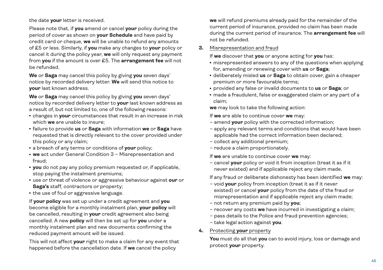the date **your** letter is received.

 Please note that, if **you** amend or cancel **your** policy during the period of cover as shown on **your Schedule** and have paid by credit card or cheque, **we** will be unable to refund any amounts of £5 or less. Similarly, if **you** make any changes to **your** policy or cancel it during the policy year, **we** will only request any payment from **you** if the amount is over £5. The **arrangement fee** will not be refunded.

 **We** or **Saga** may cancel this policy by giving **you** seven days' notice by recorded delivery letter. **We** will send this notice to **your** last known address.

 **We** or **Saga** may cancel this policy by giving **you** seven days' notice by recorded delivery letter to **your** last known address as a result of, but not limited to, one of the following reasons:

- **changes in your** circumstances that result in an increase in risk which **we** are unable to insure;
- <sup>l</sup> failure to provide **us** or **Saga** with information **we** or **Saga** have requested that is directly relevant to the cover provided under this policy or any claim;
- a breach of any terms or conditions of your policy;
- **we** act under General Condition 3 Misrepresentation and fraud;
- **you** do not pay any policy premium requested or, if applicable, stop paying the instalment premiums;
- **.** use or threat of violence or aggressive behaviour against our or **Saga's** staff, contractors or property;
- the use of foul or aggressive language.

 If **your policy** was set up under a credit agreement and **you** become eligible for a monthly instalment plan, **your policy** will be cancelled, resulting in **your** credit agreement also being cancelled. A new **policy** will then be set up for **you** under a monthly instalment plan and new documents confirming the reduced payment amount will be issued.

 This will not affect **your** right to make a claim for any event that happened before the cancellation date. If **we** cancel the policy

**we** will refund premiums already paid for the remainder of the current period of insurance, provided no claim has been made during the current period of insurance. The **arrangement fee** will not be refunded.

### **3.** Misrepresentation and fraud

If **we** discover that **you** or anyone acting for **you** has:

- misrepresented answers to any of the questions when applying for, amending or renewing cover with **us** or **Saga**;
- deliberately misled us or Saga to obtain cover, gain a cheaper premium or more favourable terms;
- <sup>l</sup> provided any false or invalid documents to **us** or **Saga**; or
- made a fraudulent, false or exaggerated claim or any part of a claim;

**we** may look to take the following action:

If **we** are able to continue cover **we** may:

- amend **your** policy with the corrected information;
- apply any relevant terms and conditions that would have been applicable had the correct information been declared;
- collect any additional premium;
- reduce a claim proportionately.

If **we** are unable to continue cover **we** may:

 – cancel **your** policy or void it from inception (treat it as if it never existed) and if applicable reject any claim made.

If any fraud or deliberate dishonesty has been identified **we** may:

- void **your** policy from inception (treat it as if it never existed) or cancel **your** policy from the date of the fraud or misrepresentation and if applicable reject any claim made;
- not return any premium paid by **you**;
- recover any costs **we** have incurred in investigating a claim;
- pass details to the Police and fraud prevention agencies;
- take legal action against **you**.

### **4.** Protecting **your** property

 **You** must do all that **you** can to avoid injury, loss or damage and protect **your** property.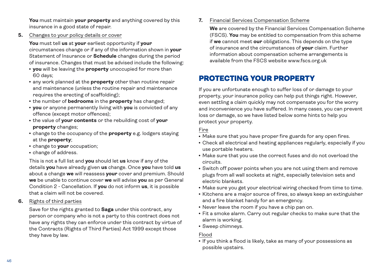**You** must maintain **your property** and anything covered by this insurance in a good state of repair.

**5.** Changes to your policy details or cover

 **You** must tell **us** at **your** earliest opportunity if **your** circumstances change or if any of the information shown in **your** Statement of Insurance or **Schedule** changes during the period of insurance. Changes that must be advised include the following:

- **you** will be leaving the **property** unoccupied for more than 60 days;
- **any work planned at the property** other than routine repair and maintenance (unless the routine repair and maintenance requires the erecting of scaffolding);
- **the number of bedrooms** in the **property** has changed;
- **you** or anyone permanently living with you is convicted of any offence (except motor offences);
- <sup>l</sup> the value of **your contents** or the rebuilding cost of **your property** changes;
- **change to the occupancy of the property** e.g. lodgers staying at the **property**;
- change to **your** occupation;
- change of address.

 This is not a full list and **you** should let **us** know if any of the details **you** have already given **us** change. Once **you** have told **us** about a change **we** will reassess **your** cover and premium. Should **we** be unable to continue cover **we** will advise **you** as per General Condition 2 - Cancellation. If **you** do not inform **us**, it is possible that a claim will not be covered.

**6.** Rights of third parties

 Save for the rights granted to **Saga** under this contract, any person or company who is not a party to this contract does not have any rights they can enforce under this contract by virtue of the Contracts (Rights of Third Parties) Act 1999 except those they have by law.

**7.** Financial Services Compensation Scheme

 **We** are covered by the Financial Services Compensation Scheme (FSCS). **You** may be entitled to compensation from this scheme if **we** cannot meet **our** obligations. This depends on the type of insurance and the circumstances of **your** claim. Further information about compensation scheme arrangements is available from the FSCS website www.fscs.org.uk

# PROTECTING YOUR PROPERTY

If you are unfortunate enough to suffer loss of or damage to your property, your insurance policy can help put things right. However, even settling a claim quickly may not compensate you for the worry and inconvenience you have suffered. In many cases, you can prevent loss or damage, so we have listed below some hints to help you protect your property.

### Fire

- Make sure that you have proper fire guards for any open fires.
- Check all electrical and heating appliances regularly, especially if you use portable heaters.
- Make sure that you use the correct fuses and do not overload the circuits.
- Switch off power points when you are not using them and remove plugs from all wall sockets at night, especially television sets and electric blankets.
- Make sure you get your electrical wiring checked from time to time.
- Kitchens are a major source of fires, so always keep an extinguisher and a fire blanket handy for an emergency.
- Never leave the room if you have a chip pan on.
- Fit a smoke alarm. Carry out regular checks to make sure that the alarm is working.
- Sweep chimneys.

### Flood

• If you think a flood is likely, take as many of your possessions as possible upstairs.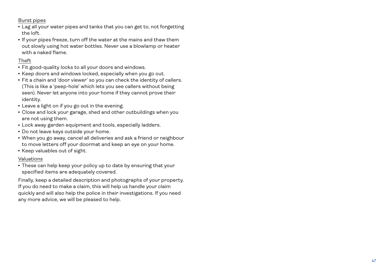Burst pipes

- Lag all your water pipes and tanks that you can get to, not forgetting the loft.
- If your pipes freeze, turn off the water at the mains and thaw them out slowly using hot water bottles. Never use a blowlamp or heater with a naked flame.

### Theft

- Fit good-quality locks to all your doors and windows.
- Keep doors and windows locked, especially when you go out.
- Fit a chain and 'door viewer' so you can check the identity of callers. (This is like a 'peep-hole' which lets you see callers without being seen). Never let anyone into your home if they cannot prove their identity.
- Leave a light on if you go out in the evening.
- Close and lock your garage, shed and other outbuildings when you are not using them.
- Lock away garden equipment and tools, especially ladders.
- Do not leave keys outside your home.
- When you go away, cancel all deliveries and ask a friend or neighbour to move letters off your doormat and keep an eye on your home.
- Keep valuables out of sight.

### Valuations

• These can help keep your policy up to date by ensuring that your specified items are adequately covered.

Finally, keep a detailed description and photographs of your property. If you do need to make a claim, this will help us handle your claim quickly and will also help the police in their investigations. If you need any more advice, we will be pleased to help.